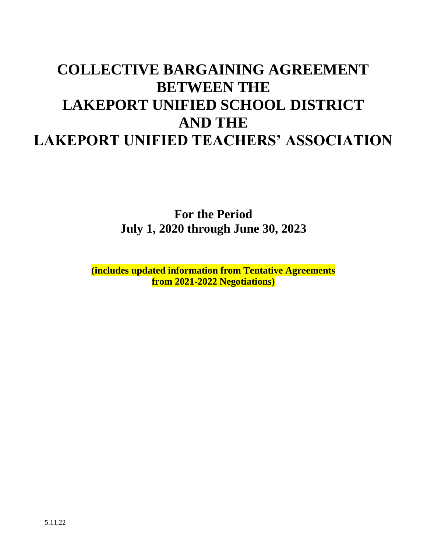# **COLLECTIVE BARGAINING AGREEMENT BETWEEN THE LAKEPORT UNIFIED SCHOOL DISTRICT AND THE LAKEPORT UNIFIED TEACHERS' ASSOCIATION**

**For the Period July 1, 2020 through June 30, 2023**

**(includes updated information from Tentative Agreements from 2021-2022 Negotiations)**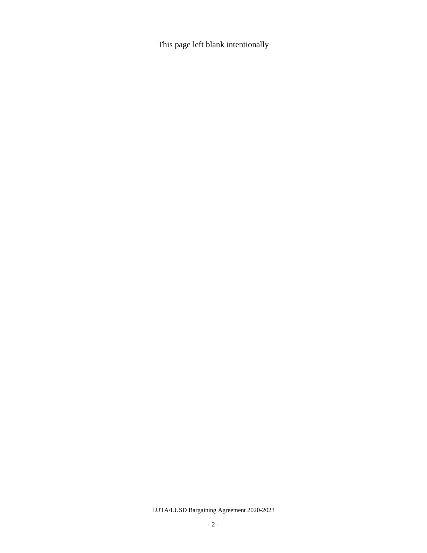This page left blank intentionally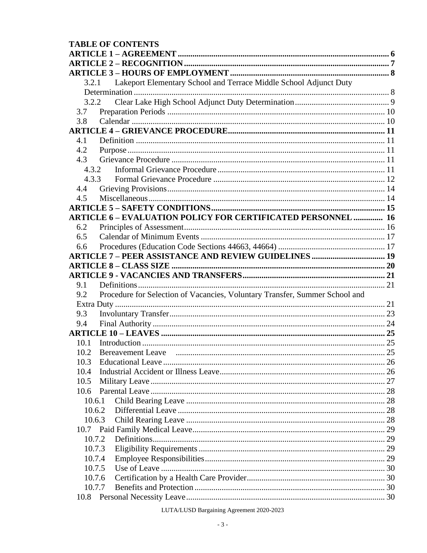|                   | <b>TABLE OF CONTENTS</b>                                                    |    |
|-------------------|-----------------------------------------------------------------------------|----|
|                   |                                                                             |    |
|                   |                                                                             |    |
|                   |                                                                             |    |
| 3.2.1             | Lakeport Elementary School and Terrace Middle School Adjunct Duty           |    |
|                   |                                                                             |    |
| 3.2.2             |                                                                             |    |
| 3.7               |                                                                             |    |
| 3.8               |                                                                             |    |
|                   |                                                                             |    |
| 4.1               |                                                                             |    |
| 4.2               |                                                                             |    |
| 4.3               |                                                                             |    |
| 4.3.2             |                                                                             |    |
| 4.3.3             |                                                                             |    |
| 4.4               |                                                                             |    |
| 4.5               |                                                                             |    |
|                   |                                                                             |    |
|                   | <b>ARTICLE 6 - EVALUATION POLICY FOR CERTIFICATED PERSONNEL  16</b>         |    |
| 6.2               |                                                                             |    |
| 6.5               |                                                                             |    |
| 6.6               |                                                                             |    |
|                   | <b>ARTICLE 7 - PEER ASSISTANCE AND REVIEW GUIDELINES  19</b>                |    |
|                   |                                                                             |    |
|                   |                                                                             |    |
| 9.1               |                                                                             |    |
| 9.2               | Procedure for Selection of Vacancies, Voluntary Transfer, Summer School and |    |
|                   |                                                                             |    |
| 9.3               |                                                                             |    |
| 9.4               |                                                                             |    |
|                   |                                                                             |    |
| 10.1              |                                                                             |    |
| 10.2 <sub>1</sub> | <b>Bereavement Leave</b>                                                    | 25 |
| 10.3              |                                                                             |    |
| 10.4              |                                                                             |    |
| 10.5              |                                                                             |    |
|                   |                                                                             |    |
| 10.6.1            |                                                                             |    |
| 10.6.2            |                                                                             |    |
| 10.6.3            |                                                                             |    |
|                   |                                                                             |    |
| 10.7.2            |                                                                             |    |
| 10.7.3            |                                                                             |    |
| 10.7.4            |                                                                             |    |
| 10.7.5            |                                                                             |    |
| 10.7.6            |                                                                             |    |
| 10.7.7            |                                                                             |    |
| 10.8              |                                                                             |    |
|                   |                                                                             |    |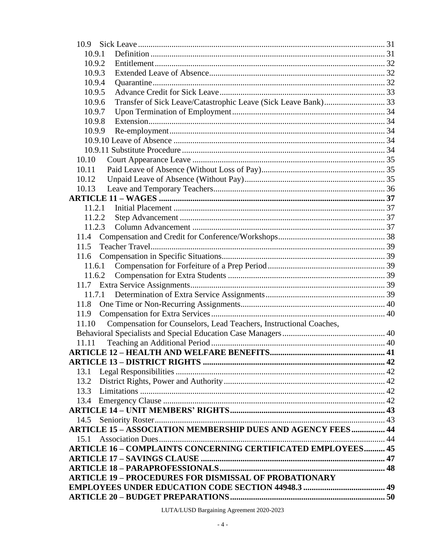| 10.9.1                                                                      |  |
|-----------------------------------------------------------------------------|--|
| 10.9.2                                                                      |  |
| 10.9.3                                                                      |  |
| 10.9.4                                                                      |  |
| 10.9.5                                                                      |  |
| 10.9.6                                                                      |  |
| 10.9.7                                                                      |  |
| 10.9.8                                                                      |  |
| 10.9.9                                                                      |  |
|                                                                             |  |
|                                                                             |  |
| 10.10                                                                       |  |
| 10.11                                                                       |  |
| 10.12                                                                       |  |
| 10.13                                                                       |  |
|                                                                             |  |
| 11.2.1                                                                      |  |
| 11.2.2                                                                      |  |
| 11.2.3                                                                      |  |
|                                                                             |  |
| 11.5                                                                        |  |
|                                                                             |  |
| 11.6.1                                                                      |  |
| 11.6.2                                                                      |  |
| 11.7                                                                        |  |
| 11.7.1                                                                      |  |
| 11.8                                                                        |  |
| 11.9                                                                        |  |
| Compensation for Counselors, Lead Teachers, Instructional Coaches,<br>11.10 |  |
|                                                                             |  |
| 11.11                                                                       |  |
|                                                                             |  |
|                                                                             |  |
| 13.1                                                                        |  |
| 13.2                                                                        |  |
|                                                                             |  |
|                                                                             |  |
|                                                                             |  |
| 14.5                                                                        |  |
| <b>ARTICLE 15 - ASSOCIATION MEMBERSHIP DUES AND AGENCY FEES 44</b>          |  |
| 15.1                                                                        |  |
| <b>ARTICLE 16 - COMPLAINTS CONCERNING CERTIFICATED EMPLOYEES 45</b>         |  |
|                                                                             |  |
|                                                                             |  |
| <b>ARTICLE 19 - PROCEDURES FOR DISMISSAL OF PROBATIONARY</b>                |  |
|                                                                             |  |
|                                                                             |  |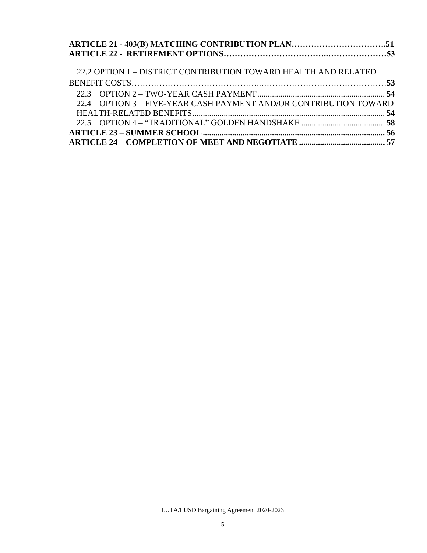| 22.2 OPTION 1 - DISTRICT CONTRIBUTION TOWARD HEALTH AND RELATED   |  |
|-------------------------------------------------------------------|--|
|                                                                   |  |
|                                                                   |  |
| 22.4 OPTION 3 – FIVE-YEAR CASH PAYMENT AND/OR CONTRIBUTION TOWARD |  |
|                                                                   |  |
|                                                                   |  |
|                                                                   |  |
|                                                                   |  |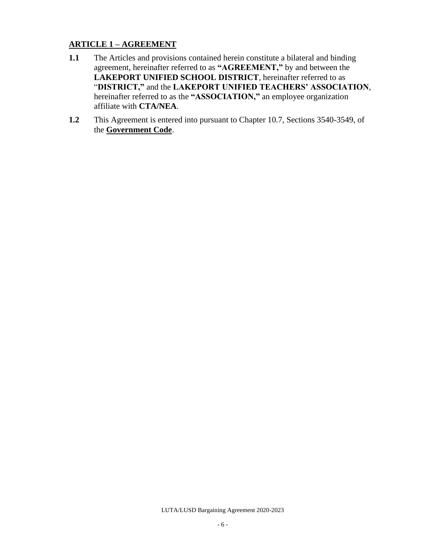## <span id="page-5-0"></span>**ARTICLE 1 – AGREEMENT**

- **1.1** The Articles and provisions contained herein constitute a bilateral and binding agreement, hereinafter referred to as **"AGREEMENT,"** by and between the **LAKEPORT UNIFIED SCHOOL DISTRICT**, hereinafter referred to as "**DISTRICT,"** and the **LAKEPORT UNIFIED TEACHERS' ASSOCIATION**, hereinafter referred to as the **"ASSOCIATION,"** an employee organization affiliate with **CTA/NEA**.
- **1.2** This Agreement is entered into pursuant to Chapter 10.7, Sections 3540-3549, of the **Government Code**.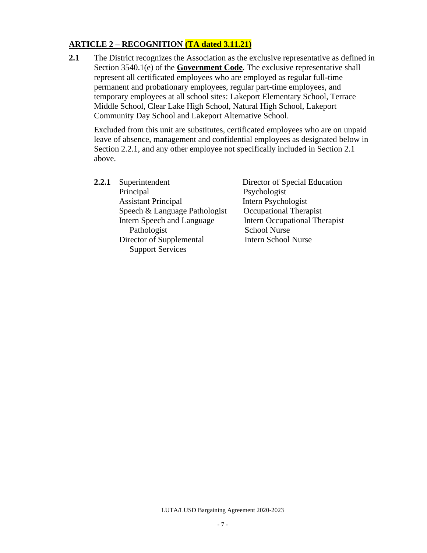# <span id="page-6-0"></span>**ARTICLE 2 – RECOGNITION (TA dated 3.11.21)**

**2.1** The District recognizes the Association as the exclusive representative as defined in Section 3540.1(e) of the **Government Code**. The exclusive representative shall represent all certificated employees who are employed as regular full-time permanent and probationary employees, regular part-time employees, and temporary employees at all school sites: Lakeport Elementary School, Terrace Middle School, Clear Lake High School, Natural High School, Lakeport Community Day School and Lakeport Alternative School.

Excluded from this unit are substitutes, certificated employees who are on unpaid leave of absence, management and confidential employees as designated below in Section 2.2.1, and any other employee not specifically included in Section 2.1 above.

<span id="page-6-1"></span>

| 2.2.1 | Superintendent                | Director of Special Education        |
|-------|-------------------------------|--------------------------------------|
|       | Principal                     | Psychologist                         |
|       | <b>Assistant Principal</b>    | Intern Psychologist                  |
|       | Speech & Language Pathologist | Occupational Therapist               |
|       | Intern Speech and Language    | <b>Intern Occupational Therapist</b> |
|       | Pathologist                   | <b>School Nurse</b>                  |
|       | Director of Supplemental      | <b>Intern School Nurse</b>           |
|       | <b>Support Services</b>       |                                      |
|       |                               |                                      |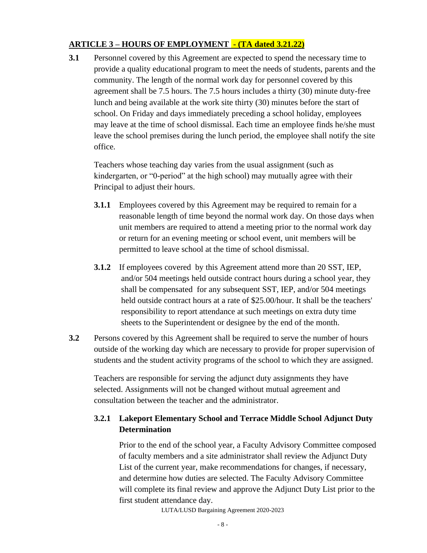# **ARTICLE 3 – HOURS OF EMPLOYMENT - (TA dated 3.21.22)**

<span id="page-7-1"></span>**3.1** Personnel covered by this Agreement are expected to spend the necessary time to provide a quality educational program to meet the needs of students, parents and the community. The length of the normal work day for personnel covered by this agreement shall be 7.5 hours. The 7.5 hours includes a thirty (30) minute duty-free lunch and being available at the work site thirty (30) minutes before the start of school. On Friday and days immediately preceding a school holiday, employees may leave at the time of school dismissal. Each time an employee finds he/she must leave the school premises during the lunch period, the employee shall notify the site office.

Teachers whose teaching day varies from the usual assignment (such as kindergarten, or "0-period" at the high school) may mutually agree with their Principal to adjust their hours.

- **3.1.1** Employees covered by this Agreement may be required to remain for a reasonable length of time beyond the normal work day. On those days when unit members are required to attend a meeting prior to the normal work day or return for an evening meeting or school event, unit members will be permitted to leave school at the time of school dismissal.
- **3.1.2** If employees covered by this Agreement attend more than 20 SST, IEP, and/or 504 meetings held outside contract hours during a school year, they shall be compensated for any subsequent SST, IEP, and/or 504 meetings held outside contract hours at a rate of \$25.00/hour. It shall be the teachers' responsibility to report attendance at such meetings on extra duty time sheets to the Superintendent or designee by the end of the month.
- **3.2** Persons covered by this Agreement shall be required to serve the number of hours outside of the working day which are necessary to provide for proper supervision of students and the student activity programs of the school to which they are assigned.

Teachers are responsible for serving the adjunct duty assignments they have selected. Assignments will not be changed without mutual agreement and consultation between the teacher and the administrator.

# <span id="page-7-0"></span>**3.2.1 Lakeport Elementary School and Terrace Middle School Adjunct Duty Determination**

Prior to the end of the school year, a Faculty Advisory Committee composed of faculty members and a site administrator shall review the Adjunct Duty List of the current year, make recommendations for changes, if necessary, and determine how duties are selected. The Faculty Advisory Committee will complete its final review and approve the Adjunct Duty List prior to the first student attendance day.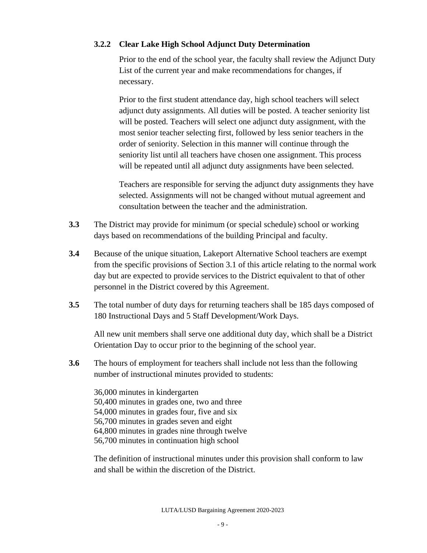# **3.2.2 Clear Lake High School Adjunct Duty Determination**

Prior to the end of the school year, the faculty shall review the Adjunct Duty List of the current year and make recommendations for changes, if necessary.

Prior to the first student attendance day, high school teachers will select adjunct duty assignments. All duties will be posted. A teacher seniority list will be posted. Teachers will select one adjunct duty assignment, with the most senior teacher selecting first, followed by less senior teachers in the order of seniority. Selection in this manner will continue through the seniority list until all teachers have chosen one assignment. This process will be repeated until all adjunct duty assignments have been selected.

Teachers are responsible for serving the adjunct duty assignments they have selected. Assignments will not be changed without mutual agreement and consultation between the teacher and the administration.

- **3.3** The District may provide for minimum (or special schedule) school or working days based on recommendations of the building Principal and faculty.
- **3.4** Because of the unique situation, Lakeport Alternative School teachers are exempt from the specific provisions of Section 3.1 of this article relating to the normal work day but are expected to provide services to the District equivalent to that of other personnel in the District covered by this Agreement.
- **3.5** The total number of duty days for returning teachers shall be 185 days composed of 180 Instructional Days and 5 Staff Development/Work Days.

All new unit members shall serve one additional duty day, which shall be a District Orientation Day to occur prior to the beginning of the school year.

**3.6** The hours of employment for teachers shall include not less than the following number of instructional minutes provided to students:

36,000 minutes in kindergarten 50,400 minutes in grades one, two and three 54,000 minutes in grades four, five and six 56,700 minutes in grades seven and eight 64,800 minutes in grades nine through twelve 56,700 minutes in continuation high school

The definition of instructional minutes under this provision shall conform to law and shall be within the discretion of the District.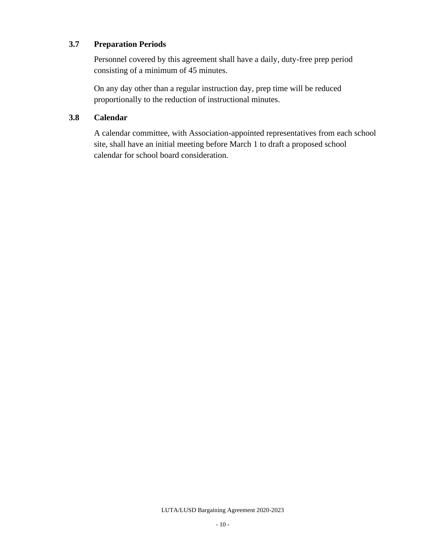# <span id="page-9-0"></span>**3.7 Preparation Periods**

Personnel covered by this agreement shall have a daily, duty-free prep period consisting of a minimum of 45 minutes.

On any day other than a regular instruction day, prep time will be reduced proportionally to the reduction of instructional minutes.

## <span id="page-9-1"></span>**3.8 Calendar**

A calendar committee, with Association-appointed representatives from each school site, shall have an initial meeting before March 1 to draft a proposed school calendar for school board consideration.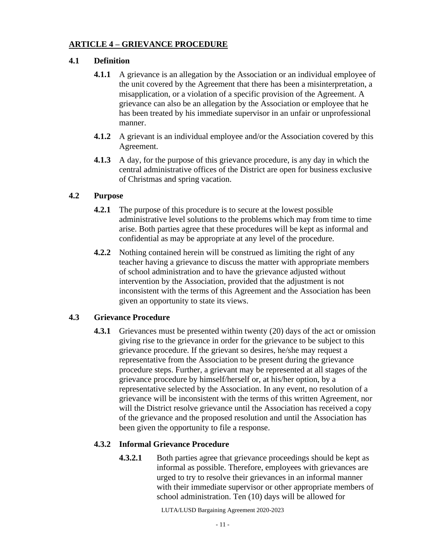## <span id="page-10-0"></span>**ARTICLE 4 – GRIEVANCE PROCEDURE**

## <span id="page-10-1"></span>**4.1 Definition**

- **4.1.1** A grievance is an allegation by the Association or an individual employee of the unit covered by the Agreement that there has been a misinterpretation, a misapplication, or a violation of a specific provision of the Agreement. A grievance can also be an allegation by the Association or employee that he has been treated by his immediate supervisor in an unfair or unprofessional manner.
- **4.1.2** A grievant is an individual employee and/or the Association covered by this Agreement.
- **4.1.3** A day, for the purpose of this grievance procedure, is any day in which the central administrative offices of the District are open for business exclusive of Christmas and spring vacation.

## <span id="page-10-2"></span>**4.2 Purpose**

- **4.2.1** The purpose of this procedure is to secure at the lowest possible administrative level solutions to the problems which may from time to time arise. Both parties agree that these procedures will be kept as informal and confidential as may be appropriate at any level of the procedure.
- **4.2.2** Nothing contained herein will be construed as limiting the right of any teacher having a grievance to discuss the matter with appropriate members of school administration and to have the grievance adjusted without intervention by the Association, provided that the adjustment is not inconsistent with the terms of this Agreement and the Association has been given an opportunity to state its views.

# <span id="page-10-3"></span>**4.3 Grievance Procedure**

**4.3.1** Grievances must be presented within twenty (20) days of the act or omission giving rise to the grievance in order for the grievance to be subject to this grievance procedure. If the grievant so desires, he/she may request a representative from the Association to be present during the grievance procedure steps. Further, a grievant may be represented at all stages of the grievance procedure by himself/herself or, at his/her option, by a representative selected by the Association. In any event, no resolution of a grievance will be inconsistent with the terms of this written Agreement, nor will the District resolve grievance until the Association has received a copy of the grievance and the proposed resolution and until the Association has been given the opportunity to file a response.

# <span id="page-10-4"></span>**4.3.2 Informal Grievance Procedure**

**4.3.2.1** Both parties agree that grievance proceedings should be kept as informal as possible. Therefore, employees with grievances are urged to try to resolve their grievances in an informal manner with their immediate supervisor or other appropriate members of school administration. Ten (10) days will be allowed for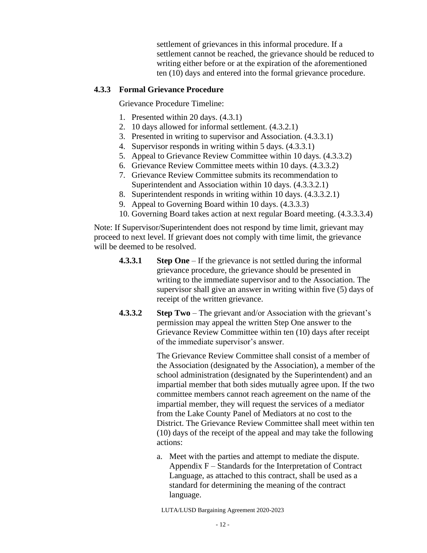settlement of grievances in this informal procedure. If a settlement cannot be reached, the grievance should be reduced to writing either before or at the expiration of the aforementioned ten (10) days and entered into the formal grievance procedure.

#### <span id="page-11-0"></span>**4.3.3 Formal Grievance Procedure**

Grievance Procedure Timeline:

- 1. Presented within 20 days. (4.3.1)
- 2. 10 days allowed for informal settlement. (4.3.2.1)
- 3. Presented in writing to supervisor and Association. (4.3.3.1)
- 4. Supervisor responds in writing within 5 days. (4.3.3.1)
- 5. Appeal to Grievance Review Committee within 10 days. (4.3.3.2)
- 6. Grievance Review Committee meets within 10 days. (4.3.3.2)
- 7. Grievance Review Committee submits its recommendation to Superintendent and Association within 10 days. (4.3.3.2.1)
- 8. Superintendent responds in writing within 10 days. (4.3.3.2.1)
- 9. Appeal to Governing Board within 10 days. (4.3.3.3)
- 10. Governing Board takes action at next regular Board meeting. (4.3.3.3.4)

Note: If Supervisor/Superintendent does not respond by time limit, grievant may proceed to next level. If grievant does not comply with time limit, the grievance will be deemed to be resolved.

- **4.3.3.1 Step One** If the grievance is not settled during the informal grievance procedure, the grievance should be presented in writing to the immediate supervisor and to the Association. The supervisor shall give an answer in writing within five (5) days of receipt of the written grievance.
- **4.3.3.2 Step Two** The grievant and/or Association with the grievant's permission may appeal the written Step One answer to the Grievance Review Committee within ten (10) days after receipt of the immediate supervisor's answer.

The Grievance Review Committee shall consist of a member of the Association (designated by the Association), a member of the school administration (designated by the Superintendent) and an impartial member that both sides mutually agree upon. If the two committee members cannot reach agreement on the name of the impartial member, they will request the services of a mediator from the Lake County Panel of Mediators at no cost to the District. The Grievance Review Committee shall meet within ten (10) days of the receipt of the appeal and may take the following actions:

a. Meet with the parties and attempt to mediate the dispute. Appendix F – Standards for the Interpretation of Contract Language, as attached to this contract, shall be used as a standard for determining the meaning of the contract language.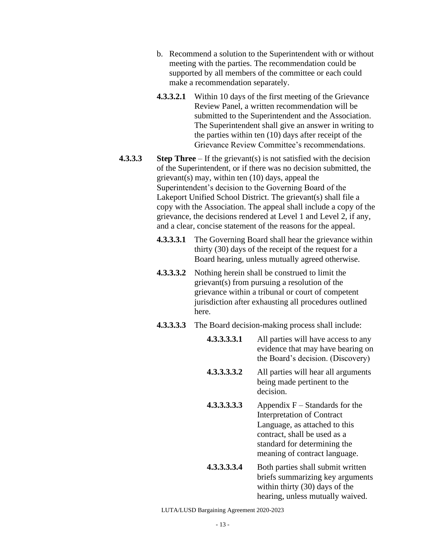- b. Recommend a solution to the Superintendent with or without meeting with the parties. The recommendation could be supported by all members of the committee or each could make a recommendation separately.
- **4.3.3.2.1** Within 10 days of the first meeting of the Grievance Review Panel, a written recommendation will be submitted to the Superintendent and the Association. The Superintendent shall give an answer in writing to the parties within ten (10) days after receipt of the Grievance Review Committee's recommendations.
- **4.3.3.3 Step Three** If the grievant(s) is not satisfied with the decision of the Superintendent, or if there was no decision submitted, the grievant(s) may, within ten  $(10)$  days, appeal the Superintendent's decision to the Governing Board of the Lakeport Unified School District. The grievant(s) shall file a copy with the Association. The appeal shall include a copy of the grievance, the decisions rendered at Level 1 and Level 2, if any, and a clear, concise statement of the reasons for the appeal.
	- **4.3.3.3.1** The Governing Board shall hear the grievance within thirty (30) days of the receipt of the request for a Board hearing, unless mutually agreed otherwise.
	- **4.3.3.3.2** Nothing herein shall be construed to limit the grievant(s) from pursuing a resolution of the grievance within a tribunal or court of competent jurisdiction after exhausting all procedures outlined here.
	- **4.3.3.3.3** The Board decision-making process shall include:

| 4.3.3.3.3.1 | All parties will have access to any<br>evidence that may have bearing on<br>the Board's decision. (Discovery)                                                                                           |
|-------------|---------------------------------------------------------------------------------------------------------------------------------------------------------------------------------------------------------|
| 4.3.3.3.3.2 | All parties will hear all arguments<br>being made pertinent to the<br>decision.                                                                                                                         |
| 4.3.3.3.3.3 | Appendix $F -$ Standards for the<br><b>Interpretation of Contract</b><br>Language, as attached to this<br>contract, shall be used as a<br>standard for determining the<br>meaning of contract language. |
| 4.3.3.3.3.4 | Both parties shall submit written<br>briefs summarizing key arguments<br>within thirty $(30)$ days of the<br>hearing, unless mutually waived.                                                           |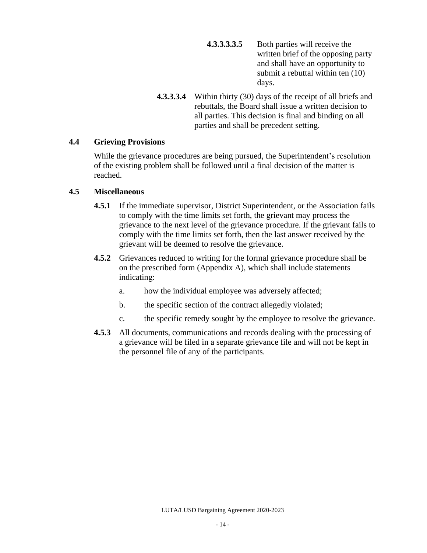- **4.3.3.3.3.5** Both parties will receive the written brief of the opposing party and shall have an opportunity to submit a rebuttal within ten (10) days.
- **4.3.3.3.4** Within thirty (30) days of the receipt of all briefs and rebuttals, the Board shall issue a written decision to all parties. This decision is final and binding on all parties and shall be precedent setting.

## <span id="page-13-0"></span>**4.4 Grieving Provisions**

While the grievance procedures are being pursued, the Superintendent's resolution of the existing problem shall be followed until a final decision of the matter is reached.

## <span id="page-13-1"></span>**4.5 Miscellaneous**

- **4.5.1** If the immediate supervisor, District Superintendent, or the Association fails to comply with the time limits set forth, the grievant may process the grievance to the next level of the grievance procedure. If the grievant fails to comply with the time limits set forth, then the last answer received by the grievant will be deemed to resolve the grievance.
- **4.5.2** Grievances reduced to writing for the formal grievance procedure shall be on the prescribed form (Appendix A), which shall include statements indicating:
	- a. how the individual employee was adversely affected;
	- b. the specific section of the contract allegedly violated;
	- c. the specific remedy sought by the employee to resolve the grievance.
- **4.5.3** All documents, communications and records dealing with the processing of a grievance will be filed in a separate grievance file and will not be kept in the personnel file of any of the participants.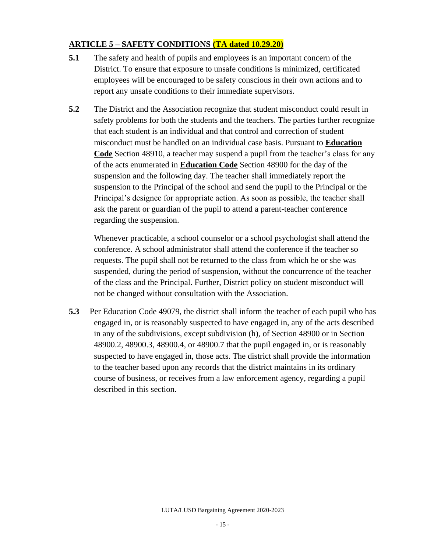# <span id="page-14-0"></span>**ARTICLE 5 – SAFETY CONDITIONS (TA dated 10.29.20)**

- **5.1** The safety and health of pupils and employees is an important concern of the District. To ensure that exposure to unsafe conditions is minimized, certificated employees will be encouraged to be safety conscious in their own actions and to report any unsafe conditions to their immediate supervisors.
- **5.2** The District and the Association recognize that student misconduct could result in safety problems for both the students and the teachers. The parties further recognize that each student is an individual and that control and correction of student misconduct must be handled on an individual case basis. Pursuant to **Education Code** Section 48910, a teacher may suspend a pupil from the teacher's class for any of the acts enumerated in **Education Code** Section 48900 for the day of the suspension and the following day. The teacher shall immediately report the suspension to the Principal of the school and send the pupil to the Principal or the Principal's designee for appropriate action. As soon as possible, the teacher shall ask the parent or guardian of the pupil to attend a parent-teacher conference regarding the suspension.

Whenever practicable, a school counselor or a school psychologist shall attend the conference. A school administrator shall attend the conference if the teacher so requests. The pupil shall not be returned to the class from which he or she was suspended, during the period of suspension, without the concurrence of the teacher of the class and the Principal. Further, District policy on student misconduct will not be changed without consultation with the Association.

**5.3** Per Education Code 49079, the district shall inform the teacher of each pupil who has engaged in, or is reasonably suspected to have engaged in, any of the acts described in any of the subdivisions, except subdivision (h), of Section 48900 or in Section 48900.2, 48900.3, 48900.4, or 48900.7 that the pupil engaged in, or is reasonably suspected to have engaged in, those acts. The district shall provide the information to the teacher based upon any records that the district maintains in its ordinary course of business, or receives from a law enforcement agency, regarding a pupil described in this section.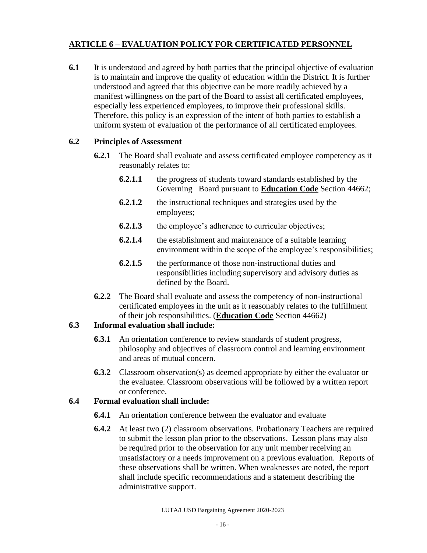# **ARTICLE 6 – EVALUATION POLICY FOR CERTIFICATED PERSONNEL**

**6.1** It is understood and agreed by both parties that the principal objective of evaluation is to maintain and improve the quality of education within the District. It is further understood and agreed that this objective can be more readily achieved by a manifest willingness on the part of the Board to assist all certificated employees, especially less experienced employees, to improve their professional skills. Therefore, this policy is an expression of the intent of both parties to establish a uniform system of evaluation of the performance of all certificated employees.

# <span id="page-15-0"></span>**6.2 Principles of Assessment**

- **6.2.1** The Board shall evaluate and assess certificated employee competency as it reasonably relates to:
	- **6.2.1.1** the progress of students toward standards established by the Governing Board pursuant to **Education Code** Section 44662;
	- **6.2.1.2** the instructional techniques and strategies used by the employees;
	- **6.2.1.3** the employee's adherence to curricular objectives;
	- **6.2.1.4** the establishment and maintenance of a suitable learning environment within the scope of the employee's responsibilities;
	- **6.2.1.5** the performance of those non-instructional duties and responsibilities including supervisory and advisory duties as defined by the Board.
- **6.2.2** The Board shall evaluate and assess the competency of non-instructional certificated employees in the unit as it reasonably relates to the fulfillment of their job responsibilities. (**Education Code** Section 44662)

# **6.3 Informal evaluation shall include:**

- **6.3.1** An orientation conference to review standards of student progress, philosophy and objectives of classroom control and learning environment and areas of mutual concern.
- **6.3.2** Classroom observation(s) as deemed appropriate by either the evaluator or the evaluatee. Classroom observations will be followed by a written report or conference.

# **6.4 Formal evaluation shall include:**

- **6.4.1** An orientation conference between the evaluator and evaluate
- **6.4.2** At least two (2) classroom observations. Probationary Teachers are required to submit the lesson plan prior to the observations. Lesson plans may also be required prior to the observation for any unit member receiving an unsatisfactory or a needs improvement on a previous evaluation. Reports of these observations shall be written. When weaknesses are noted, the report shall include specific recommendations and a statement describing the administrative support.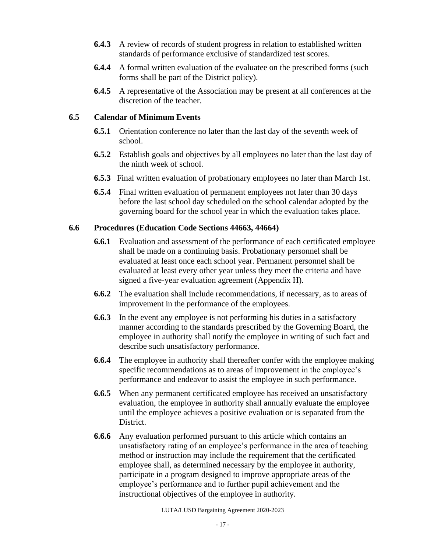- **6.4.3** A review of records of student progress in relation to established written standards of performance exclusive of standardized test scores.
- **6.4.4** A formal written evaluation of the evaluatee on the prescribed forms (such forms shall be part of the District policy).
- **6.4.5** A representative of the Association may be present at all conferences at the discretion of the teacher.

## <span id="page-16-0"></span>**6.5 Calendar of Minimum Events**

- **6.5.1** Orientation conference no later than the last day of the seventh week of school.
- **6.5.2** Establish goals and objectives by all employees no later than the last day of the ninth week of school.
- **6.5.3** Final written evaluation of probationary employees no later than March 1st.
- **6.5.4** Final written evaluation of permanent employees not later than 30 days before the last school day scheduled on the school calendar adopted by the governing board for the school year in which the evaluation takes place.

## <span id="page-16-1"></span>**6.6 Procedures (Education Code Sections 44663, 44664)**

- **6.6.1** Evaluation and assessment of the performance of each certificated employee shall be made on a continuing basis. Probationary personnel shall be evaluated at least once each school year. Permanent personnel shall be evaluated at least every other year unless they meet the criteria and have signed a five-year evaluation agreement (Appendix H).
- **6.6.2** The evaluation shall include recommendations, if necessary, as to areas of improvement in the performance of the employees.
- **6.6.3** In the event any employee is not performing his duties in a satisfactory manner according to the standards prescribed by the Governing Board, the employee in authority shall notify the employee in writing of such fact and describe such unsatisfactory performance.
- **6.6.4** The employee in authority shall thereafter confer with the employee making specific recommendations as to areas of improvement in the employee's performance and endeavor to assist the employee in such performance.
- **6.6.5** When any permanent certificated employee has received an unsatisfactory evaluation, the employee in authority shall annually evaluate the employee until the employee achieves a positive evaluation or is separated from the District.
- **6.6.6** Any evaluation performed pursuant to this article which contains an unsatisfactory rating of an employee's performance in the area of teaching method or instruction may include the requirement that the certificated employee shall, as determined necessary by the employee in authority, participate in a program designed to improve appropriate areas of the employee's performance and to further pupil achievement and the instructional objectives of the employee in authority.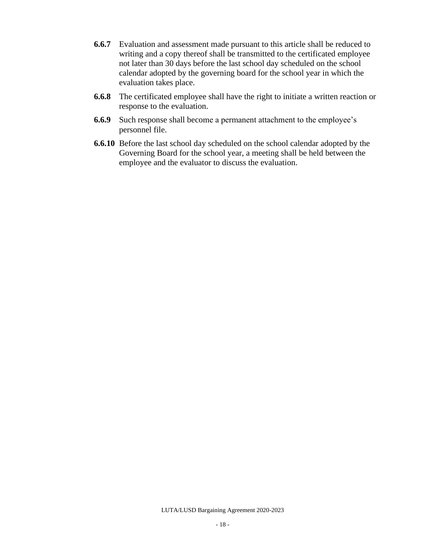- **6.6.7** Evaluation and assessment made pursuant to this article shall be reduced to writing and a copy thereof shall be transmitted to the certificated employee not later than 30 days before the last school day scheduled on the school calendar adopted by the governing board for the school year in which the evaluation takes place.
- **6.6.8** The certificated employee shall have the right to initiate a written reaction or response to the evaluation.
- **6.6.9** Such response shall become a permanent attachment to the employee's personnel file.
- **6.6.10** Before the last school day scheduled on the school calendar adopted by the Governing Board for the school year, a meeting shall be held between the employee and the evaluator to discuss the evaluation.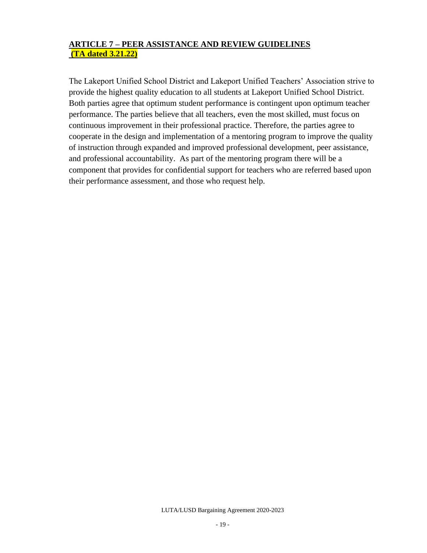# **ARTICLE 7 – PEER ASSISTANCE AND REVIEW GUIDELINES (TA dated 3.21.22)**

The Lakeport Unified School District and Lakeport Unified Teachers' Association strive to provide the highest quality education to all students at Lakeport Unified School District. Both parties agree that optimum student performance is contingent upon optimum teacher performance. The parties believe that all teachers, even the most skilled, must focus on continuous improvement in their professional practice. Therefore, the parties agree to cooperate in the design and implementation of a mentoring program to improve the quality of instruction through expanded and improved professional development, peer assistance, and professional accountability. As part of the mentoring program there will be a component that provides for confidential support for teachers who are referred based upon their performance assessment, and those who request help.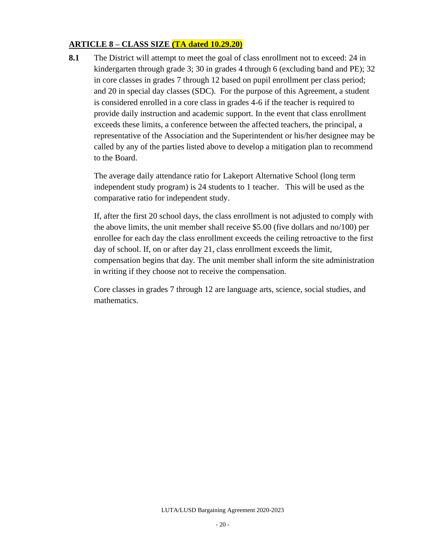# <span id="page-19-0"></span>**ARTICLE 8 – CLASS SIZE (TA dated 10.29.20)**

<span id="page-19-1"></span>**8.1** The District will attempt to meet the goal of class enrollment not to exceed: 24 in kindergarten through grade 3; 30 in grades 4 through 6 (excluding band and PE); 32 in core classes in grades 7 through 12 based on pupil enrollment per class period; and 20 in special day classes (SDC). For the purpose of this Agreement, a student is considered enrolled in a core class in grades 4-6 if the teacher is required to provide daily instruction and academic support. In the event that class enrollment exceeds these limits, a conference between the affected teachers, the principal, a representative of the Association and the Superintendent or his/her designee may be called by any of the parties listed above to develop a mitigation plan to recommend to the Board.

The average daily attendance ratio for Lakeport Alternative School (long term independent study program) is 24 students to 1 teacher. This will be used as the comparative ratio for independent study.

If, after the first 20 school days, the class enrollment is not adjusted to comply with the above limits, the unit member shall receive \$5.00 (five dollars and no/100) per enrollee for each day the class enrollment exceeds the ceiling retroactive to the first day of school. If, on or after day 21, class enrollment exceeds the limit, compensation begins that day. The unit member shall inform the site administration in writing if they choose not to receive the compensation.

Core classes in grades 7 through 12 are language arts, science, social studies, and mathematics.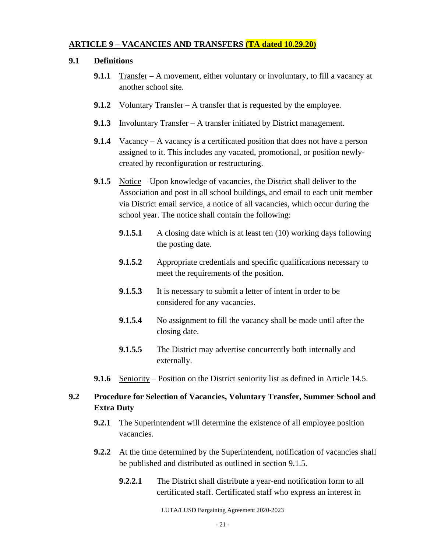## **ARTICLE 9 – VACANCIES AND TRANSFERS (TA dated 10.29.20)**

#### <span id="page-20-0"></span>**9.1 Definitions**

- **9.1.1** Transfer A movement, either voluntary or involuntary, to fill a vacancy at another school site.
- **9.1.2** Voluntary Transfer A transfer that is requested by the employee.
- **9.1.3** Involuntary Transfer A transfer initiated by District management.
- **9.1.4** Vacancy A vacancy is a certificated position that does not have a person assigned to it. This includes any vacated, promotional, or position newlycreated by reconfiguration or restructuring.
- **9.1.5** Notice Upon knowledge of vacancies, the District shall deliver to the Association and post in all school buildings, and email to each unit member via District email service, a notice of all vacancies, which occur during the school year. The notice shall contain the following:
	- **9.1.5.1** A closing date which is at least ten (10) working days following the posting date.
	- **9.1.5.2** Appropriate credentials and specific qualifications necessary to meet the requirements of the position.
	- **9.1.5.3** It is necessary to submit a letter of intent in order to be considered for any vacancies.
	- **9.1.5.4** No assignment to fill the vacancy shall be made until after the closing date.
	- **9.1.5.5** The District may advertise concurrently both internally and externally.
- **9.1.6** Seniority Position on the District seniority list as defined in Article 14.5.

# **9.2 Procedure for Selection of Vacancies, Voluntary Transfer, Summer School and Extra Duty**

- **9.2.1** The Superintendent will determine the existence of all employee position vacancies.
- **9.2.2** At the time determined by the Superintendent, notification of vacancies shall be published and distributed as outlined in section 9.1.5.
	- **9.2.2.1** The District shall distribute a year-end notification form to all certificated staff. Certificated staff who express an interest in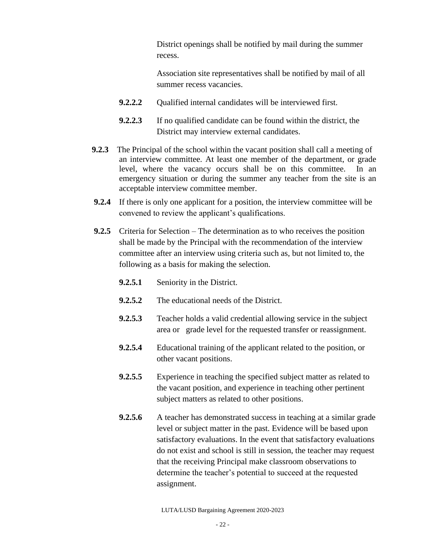District openings shall be notified by mail during the summer recess.

Association site representatives shall be notified by mail of all summer recess vacancies.

- **9.2.2.2** Qualified internal candidates will be interviewed first.
- **9.2.2.3** If no qualified candidate can be found within the district, the District may interview external candidates.
- **9.2.3** The Principal of the school within the vacant position shall call a meeting of an interview committee. At least one member of the department, or grade level, where the vacancy occurs shall be on this committee. In an emergency situation or during the summer any teacher from the site is an acceptable interview committee member.
- **9.2.4** If there is only one applicant for a position, the interview committee will be convened to review the applicant's qualifications.
- **9.2.5** Criteria for Selection The determination as to who receives the position shall be made by the Principal with the recommendation of the interview committee after an interview using criteria such as, but not limited to, the following as a basis for making the selection.
	- **9.2.5.1** Seniority in the District.
	- **9.2.5.2** The educational needs of the District.
	- **9.2.5.3** Teacher holds a valid credential allowing service in the subject area or grade level for the requested transfer or reassignment.
	- **9.2.5.4** Educational training of the applicant related to the position, or other vacant positions.
	- **9.2.5.5** Experience in teaching the specified subject matter as related to the vacant position, and experience in teaching other pertinent subject matters as related to other positions.
	- **9.2.5.6** A teacher has demonstrated success in teaching at a similar grade level or subject matter in the past. Evidence will be based upon satisfactory evaluations. In the event that satisfactory evaluations do not exist and school is still in session, the teacher may request that the receiving Principal make classroom observations to determine the teacher's potential to succeed at the requested assignment.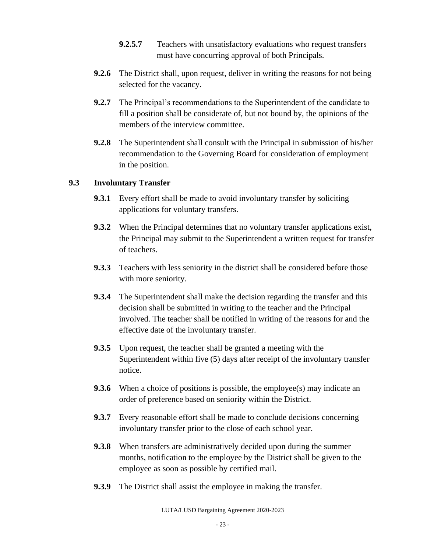- **9.2.5.7** Teachers with unsatisfactory evaluations who request transfers must have concurring approval of both Principals.
- **9.2.6** The District shall, upon request, deliver in writing the reasons for not being selected for the vacancy.
- **9.2.7** The Principal's recommendations to the Superintendent of the candidate to fill a position shall be considerate of, but not bound by, the opinions of the members of the interview committee.
- **9.2.8** The Superintendent shall consult with the Principal in submission of his/her recommendation to the Governing Board for consideration of employment in the position.

# <span id="page-22-0"></span>**9.3 Involuntary Transfer**

- **9.3.1** Every effort shall be made to avoid involuntary transfer by soliciting applications for voluntary transfers.
- **9.3.2** When the Principal determines that no voluntary transfer applications exist, the Principal may submit to the Superintendent a written request for transfer of teachers.
- **9.3.3** Teachers with less seniority in the district shall be considered before those with more seniority.
- **9.3.4** The Superintendent shall make the decision regarding the transfer and this decision shall be submitted in writing to the teacher and the Principal involved. The teacher shall be notified in writing of the reasons for and the effective date of the involuntary transfer.
- **9.3.5** Upon request, the teacher shall be granted a meeting with the Superintendent within five (5) days after receipt of the involuntary transfer notice.
- <span id="page-22-1"></span>**9.3.6** When a choice of positions is possible, the employee(s) may indicate an order of preference based on seniority within the District.
- **9.3.7** Every reasonable effort shall be made to conclude decisions concerning involuntary transfer prior to the close of each school year.
- **9.3.8** When transfers are administratively decided upon during the summer months, notification to the employee by the District shall be given to the employee as soon as possible by certified mail.
- **9.3.9** The District shall assist the employee in making the transfer.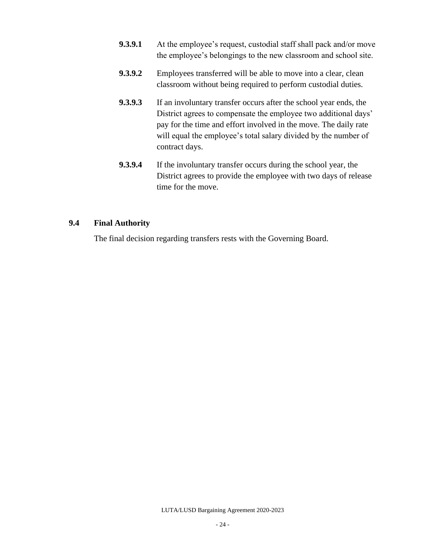- **9.3.9.1** At the employee's request, custodial staff shall pack and/or move the employee's belongings to the new classroom and school site.
- **9.3.9.2** Employees transferred will be able to move into a clear, clean classroom without being required to perform custodial duties.
- **9.3.9.3** If an involuntary transfer occurs after the school year ends, the District agrees to compensate the employee two additional days' pay for the time and effort involved in the move. The daily rate will equal the employee's total salary divided by the number of contract days.
- **9.3.9.4** If the involuntary transfer occurs during the school year, the District agrees to provide the employee with two days of release time for the move.

## **9.4 Final Authority**

<span id="page-23-0"></span>The final decision regarding transfers rests with the Governing Board.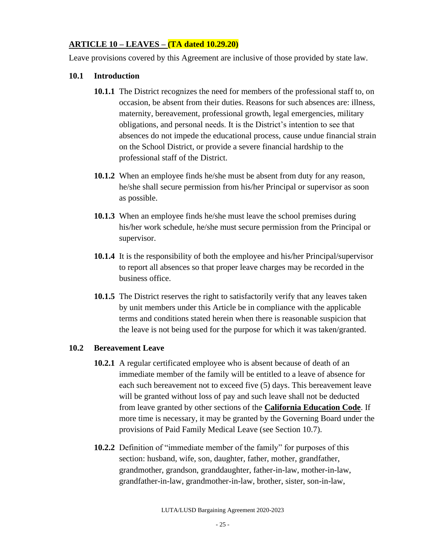# **ARTICLE 10 – LEAVES – (TA dated 10.29.20)**

Leave provisions covered by this Agreement are inclusive of those provided by state law.

## <span id="page-24-0"></span>**10.1 Introduction**

- **10.1.1** The District recognizes the need for members of the professional staff to, on occasion, be absent from their duties. Reasons for such absences are: illness, maternity, bereavement, professional growth, legal emergencies, military obligations, and personal needs. It is the District's intention to see that absences do not impede the educational process, cause undue financial strain on the School District, or provide a severe financial hardship to the professional staff of the District.
- **10.1.2** When an employee finds he/she must be absent from duty for any reason, he/she shall secure permission from his/her Principal or supervisor as soon as possible.
- **10.1.3** When an employee finds he/she must leave the school premises during his/her work schedule, he/she must secure permission from the Principal or supervisor.
- **10.1.4** It is the responsibility of both the employee and his/her Principal/supervisor to report all absences so that proper leave charges may be recorded in the business office.
- **10.1.5** The District reserves the right to satisfactorily verify that any leaves taken by unit members under this Article be in compliance with the applicable terms and conditions stated herein when there is reasonable suspicion that the leave is not being used for the purpose for which it was taken/granted.

# **10.2 Bereavement Leave**

- **10.2.1** A regular certificated employee who is absent because of death of an immediate member of the family will be entitled to a leave of absence for each such bereavement not to exceed five (5) days. This bereavement leave will be granted without loss of pay and such leave shall not be deducted from leave granted by other sections of the **California Education Code**. If more time is necessary, it may be granted by the Governing Board under the provisions of Paid Family Medical Leave (see Section 10.7).
- **10.2.2** Definition of "immediate member of the family" for purposes of this section: husband, wife, son, daughter, father, mother, grandfather, grandmother, grandson, granddaughter, father-in-law, mother-in-law, grandfather-in-law, grandmother-in-law, brother, sister, son-in-law,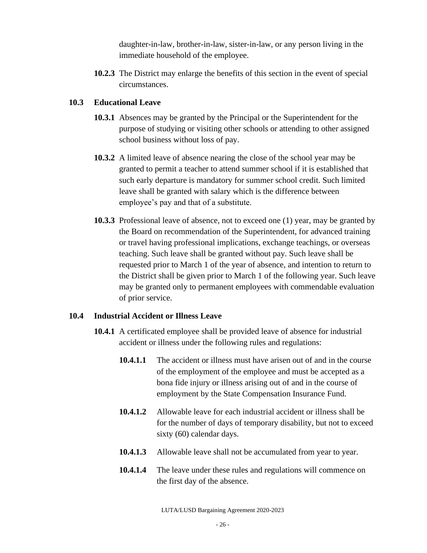daughter-in-law, brother-in-law, sister-in-law, or any person living in the immediate household of the employee.

<span id="page-25-1"></span>**10.2.3** The District may enlarge the benefits of this section in the event of special circumstances.

# <span id="page-25-0"></span>**10.3 Educational Leave**

- **10.3.1** Absences may be granted by the Principal or the Superintendent for the purpose of studying or visiting other schools or attending to other assigned school business without loss of pay.
- **10.3.2** A limited leave of absence nearing the close of the school year may be granted to permit a teacher to attend summer school if it is established that such early departure is mandatory for summer school credit. Such limited leave shall be granted with salary which is the difference between employee's pay and that of a substitute.
- **10.3.3** Professional leave of absence, not to exceed one (1) year, may be granted by the Board on recommendation of the Superintendent, for advanced training or travel having professional implications, exchange teachings, or overseas teaching. Such leave shall be granted without pay. Such leave shall be requested prior to March 1 of the year of absence, and intention to return to the District shall be given prior to March 1 of the following year. Such leave may be granted only to permanent employees with commendable evaluation of prior service.

# **10.4 Industrial Accident or Illness Leave**

- **10.4.1** A certificated employee shall be provided leave of absence for industrial accident or illness under the following rules and regulations:
	- **10.4.1.1** The accident or illness must have arisen out of and in the course of the employment of the employee and must be accepted as a bona fide injury or illness arising out of and in the course of employment by the State Compensation Insurance Fund.
	- **10.4.1.2** Allowable leave for each industrial accident or illness shall be for the number of days of temporary disability, but not to exceed sixty (60) calendar days.
	- **10.4.1.3** Allowable leave shall not be accumulated from year to year.
	- **10.4.1.4** The leave under these rules and regulations will commence on the first day of the absence.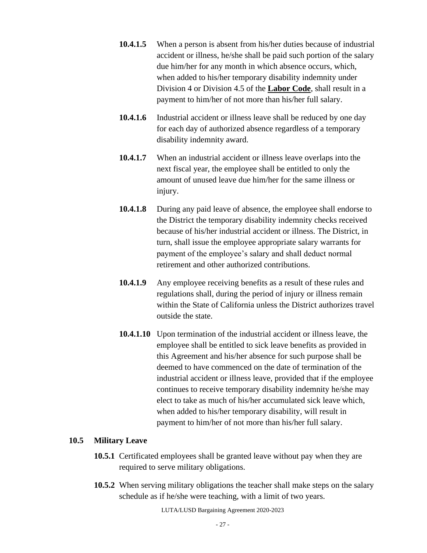- **10.4.1.5** When a person is absent from his/her duties because of industrial accident or illness, he/she shall be paid such portion of the salary due him/her for any month in which absence occurs, which, when added to his/her temporary disability indemnity under Division 4 or Division 4.5 of the **Labor Code**, shall result in a payment to him/her of not more than his/her full salary.
- **10.4.1.6** Industrial accident or illness leave shall be reduced by one day for each day of authorized absence regardless of a temporary disability indemnity award.
- **10.4.1.7** When an industrial accident or illness leave overlaps into the next fiscal year, the employee shall be entitled to only the amount of unused leave due him/her for the same illness or injury.
- **10.4.1.8** During any paid leave of absence, the employee shall endorse to the District the temporary disability indemnity checks received because of his/her industrial accident or illness. The District, in turn, shall issue the employee appropriate salary warrants for payment of the employee's salary and shall deduct normal retirement and other authorized contributions.
- **10.4.1.9** Any employee receiving benefits as a result of these rules and regulations shall, during the period of injury or illness remain within the State of California unless the District authorizes travel outside the state.
- <span id="page-26-0"></span>**10.4.1.10** Upon termination of the industrial accident or illness leave, the employee shall be entitled to sick leave benefits as provided in this Agreement and his/her absence for such purpose shall be deemed to have commenced on the date of termination of the industrial accident or illness leave, provided that if the employee continues to receive temporary disability indemnity he/she may elect to take as much of his/her accumulated sick leave which, when added to his/her temporary disability, will result in payment to him/her of not more than his/her full salary.

#### <span id="page-26-1"></span>**10.5 Military Leave**

- **10.5.1** Certificated employees shall be granted leave without pay when they are required to serve military obligations.
- **10.5.2** When serving military obligations the teacher shall make steps on the salary schedule as if he/she were teaching, with a limit of two years.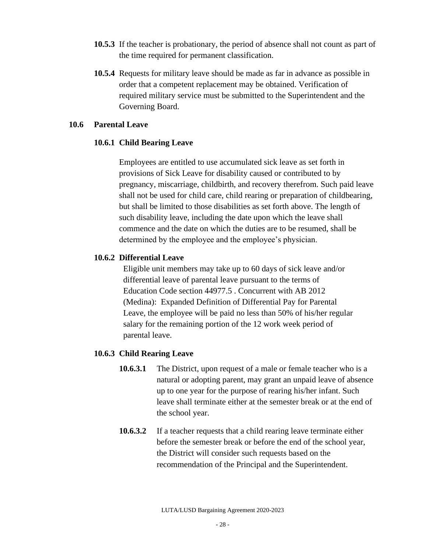- **10.5.3** If the teacher is probationary, the period of absence shall not count as part of the time required for permanent classification.
- **10.5.4** Requests for military leave should be made as far in advance as possible in order that a competent replacement may be obtained. Verification of required military service must be submitted to the Superintendent and the Governing Board.

## <span id="page-27-2"></span><span id="page-27-0"></span>**10.6 Parental Leave**

#### **10.6.1 Child Bearing Leave**

Employees are entitled to use accumulated sick leave as set forth in provisions of Sick Leave for disability caused or contributed to by pregnancy, miscarriage, childbirth, and recovery therefrom. Such paid leave shall not be used for child care, child rearing or preparation of childbearing, but shall be limited to those disabilities as set forth above. The length of such disability leave, including the date upon which the leave shall commence and the date on which the duties are to be resumed, shall be determined by the employee and the employee's physician.

# <span id="page-27-1"></span>**10.6.2 Differential Leave**

 Eligible unit members may take up to 60 days of sick leave and/or differential leave of parental leave pursuant to the terms of Education Code section 44977.5 . Concurrent with AB 2012 (Medina): Expanded Definition of Differential Pay for Parental Leave, the employee will be paid no less than 50% of his/her regular salary for the remaining portion of the 12 work week period of parental leave.

#### **10.6.3 Child Rearing Leave**

- **10.6.3.1** The District, upon request of a male or female teacher who is a natural or adopting parent, may grant an unpaid leave of absence up to one year for the purpose of rearing his/her infant. Such leave shall terminate either at the semester break or at the end of the school year.
- **10.6.3.2** If a teacher requests that a child rearing leave terminate either before the semester break or before the end of the school year, the District will consider such requests based on the recommendation of the Principal and the Superintendent.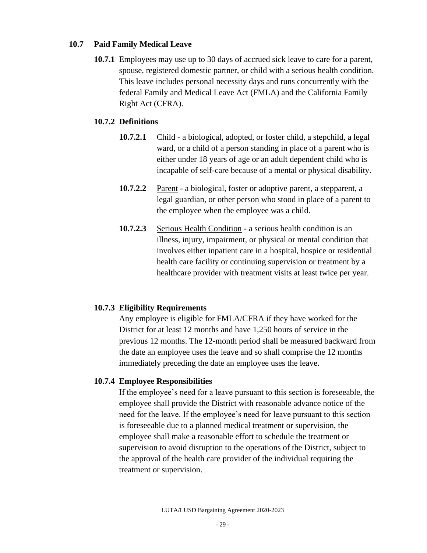# <span id="page-28-0"></span>**10.7 Paid Family Medical Leave**

**10.7.1** Employees may use up to 30 days of accrued sick leave to care for a parent, spouse, registered domestic partner, or child with a serious health condition. This leave includes personal necessity days and runs concurrently with the federal Family and Medical Leave Act (FMLA) and the California Family Right Act (CFRA).

## <span id="page-28-1"></span>**10.7.2 Definitions**

- **10.7.2.1** Child a biological, adopted, or foster child, a stepchild, a legal ward, or a child of a person standing in place of a parent who is either under 18 years of age or an adult dependent child who is incapable of self-care because of a mental or physical disability.
- **10.7.2.2** Parent a biological, foster or adoptive parent, a stepparent, a legal guardian, or other person who stood in place of a parent to the employee when the employee was a child.
- **10.7.2.3** Serious Health Condition a serious health condition is an illness, injury, impairment, or physical or mental condition that involves either inpatient care in a hospital, hospice or residential health care facility or continuing supervision or treatment by a healthcare provider with treatment visits at least twice per year.

# <span id="page-28-2"></span>**10.7.3 Eligibility Requirements**

Any employee is eligible for FMLA/CFRA if they have worked for the District for at least 12 months and have 1,250 hours of service in the previous 12 months. The 12-month period shall be measured backward from the date an employee uses the leave and so shall comprise the 12 months immediately preceding the date an employee uses the leave.

## <span id="page-28-3"></span>**10.7.4 Employee Responsibilities**

If the employee's need for a leave pursuant to this section is foreseeable, the employee shall provide the District with reasonable advance notice of the need for the leave. If the employee's need for leave pursuant to this section is foreseeable due to a planned medical treatment or supervision, the employee shall make a reasonable effort to schedule the treatment or supervision to avoid disruption to the operations of the District, subject to the approval of the health care provider of the individual requiring the treatment or supervision.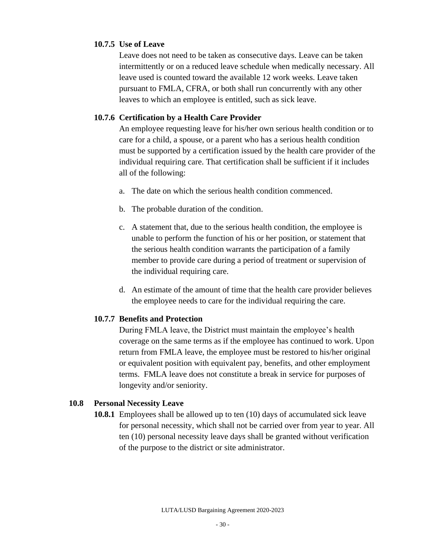## <span id="page-29-0"></span>**10.7.5 Use of Leave**

Leave does not need to be taken as consecutive days. Leave can be taken intermittently or on a reduced leave schedule when medically necessary. All leave used is counted toward the available 12 work weeks. Leave taken pursuant to FMLA, CFRA, or both shall run concurrently with any other leaves to which an employee is entitled, such as sick leave.

## <span id="page-29-2"></span>**10.7.6 Certification by a Health Care Provider**

An employee requesting leave for his/her own serious health condition or to care for a child, a spouse, or a parent who has a serious health condition must be supported by a certification issued by the health care provider of the individual requiring care. That certification shall be sufficient if it includes all of the following:

- a. The date on which the serious health condition commenced.
- b. The probable duration of the condition.
- c. A statement that, due to the serious health condition, the employee is unable to perform the function of his or her position, or statement that the serious health condition warrants the participation of a family member to provide care during a period of treatment or supervision of the individual requiring care.
- d. An estimate of the amount of time that the health care provider believes the employee needs to care for the individual requiring the care.

## <span id="page-29-1"></span>**10.7.7 Benefits and Protection**

During FMLA leave, the District must maintain the employee's health coverage on the same terms as if the employee has continued to work. Upon return from FMLA leave, the employee must be restored to his/her original or equivalent position with equivalent pay, benefits, and other employment terms. FMLA leave does not constitute a break in service for purposes of longevity and/or seniority.

#### **10.8 Personal Necessity Leave**

**10.8.1** Employees shall be allowed up to ten (10) days of accumulated sick leave for personal necessity, which shall not be carried over from year to year. All ten (10) personal necessity leave days shall be granted without verification of the purpose to the district or site administrator.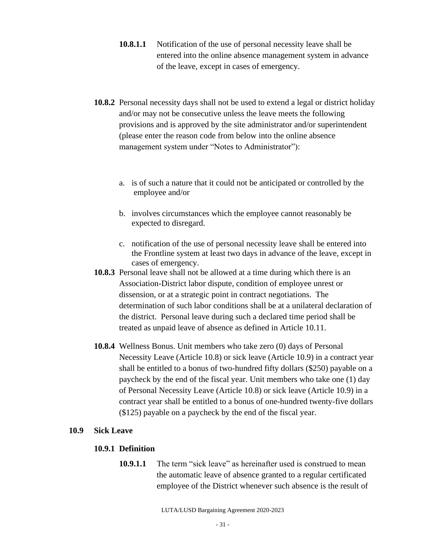- **10.8.1.1** Notification of the use of personal necessity leave shall be entered into the online absence management system in advance of the leave, except in cases of emergency.
- **10.8.2** Personal necessity days shall not be used to extend a legal or district holiday and/or may not be consecutive unless the leave meets the following provisions and is approved by the site administrator and/or superintendent (please enter the reason code from below into the online absence management system under "Notes to Administrator"):
	- a. is of such a nature that it could not be anticipated or controlled by the employee and/or
	- b. involves circumstances which the employee cannot reasonably be expected to disregard.
	- c. notification of the use of personal necessity leave shall be entered into the Frontline system at least two days in advance of the leave, except in cases of emergency.
- <span id="page-30-0"></span>**10.8.3** Personal leave shall not be allowed at a time during which there is an Association-District labor dispute, condition of employee unrest or dissension, or at a strategic point in contract negotiations. The determination of such labor conditions shall be at a unilateral declaration of the district. Personal leave during such a declared time period shall be treated as unpaid leave of absence as defined in Article 10.11.
- **10.8.4** Wellness Bonus. Unit members who take zero (0) days of Personal Necessity Leave (Article 10.8) or sick leave (Article 10.9) in a contract year shall be entitled to a bonus of two-hundred fifty dollars (\$250) payable on a paycheck by the end of the fiscal year. Unit members who take one (1) day of Personal Necessity Leave (Article 10.8) or sick leave (Article 10.9) in a contract year shall be entitled to a bonus of one-hundred twenty-five dollars (\$125) payable on a paycheck by the end of the fiscal year.

## <span id="page-30-2"></span><span id="page-30-1"></span>**10.9 Sick Leave**

# **10.9.1 Definition**

**10.9.1.1** The term "sick leave" as hereinafter used is construed to mean the automatic leave of absence granted to a regular certificated employee of the District whenever such absence is the result of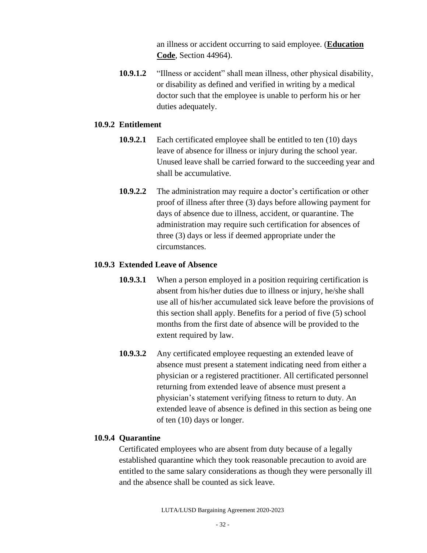an illness or accident occurring to said employee. (**Education Code**, Section 44964).

**10.9.1.2** "Illness or accident" shall mean illness, other physical disability, or disability as defined and verified in writing by a medical doctor such that the employee is unable to perform his or her duties adequately.

## <span id="page-31-0"></span>**10.9.2 Entitlement**

- **10.9.2.1** Each certificated employee shall be entitled to ten (10) days leave of absence for illness or injury during the school year. Unused leave shall be carried forward to the succeeding year and shall be accumulative.
- **10.9.2.2** The administration may require a doctor's certification or other proof of illness after three (3) days before allowing payment for days of absence due to illness, accident, or quarantine. The administration may require such certification for absences of three (3) days or less if deemed appropriate under the circumstances.

## <span id="page-31-1"></span>**10.9.3 Extended Leave of Absence**

- **10.9.3.1** When a person employed in a position requiring certification is absent from his/her duties due to illness or injury, he/she shall use all of his/her accumulated sick leave before the provisions of this section shall apply. Benefits for a period of five (5) school months from the first date of absence will be provided to the extent required by law.
- **10.9.3.2** Any certificated employee requesting an extended leave of absence must present a statement indicating need from either a physician or a registered practitioner. All certificated personnel returning from extended leave of absence must present a physician's statement verifying fitness to return to duty. An extended leave of absence is defined in this section as being one of ten (10) days or longer.

## <span id="page-31-2"></span>**10.9.4 Quarantine**

Certificated employees who are absent from duty because of a legally established quarantine which they took reasonable precaution to avoid are entitled to the same salary considerations as though they were personally ill and the absence shall be counted as sick leave.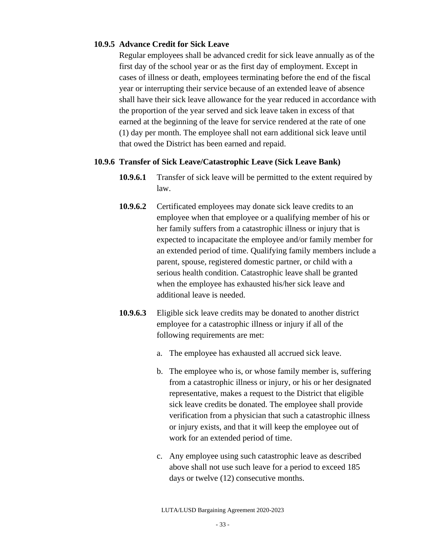# <span id="page-32-0"></span>**10.9.5 Advance Credit for Sick Leave**

Regular employees shall be advanced credit for sick leave annually as of the first day of the school year or as the first day of employment. Except in cases of illness or death, employees terminating before the end of the fiscal year or interrupting their service because of an extended leave of absence shall have their sick leave allowance for the year reduced in accordance with the proportion of the year served and sick leave taken in excess of that earned at the beginning of the leave for service rendered at the rate of one (1) day per month. The employee shall not earn additional sick leave until that owed the District has been earned and repaid.

## **10.9.6 Transfer of Sick Leave/Catastrophic Leave (Sick Leave Bank)**

- **10.9.6.1** Transfer of sick leave will be permitted to the extent required by law.
- **10.9.6.2** Certificated employees may donate sick leave credits to an employee when that employee or a qualifying member of his or her family suffers from a catastrophic illness or injury that is expected to incapacitate the employee and/or family member for an extended period of time. Qualifying family members include a parent, spouse, registered domestic partner, or child with a serious health condition. Catastrophic leave shall be granted when the employee has exhausted his/her sick leave and additional leave is needed.
- <span id="page-32-1"></span>**10.9.6.3** Eligible sick leave credits may be donated to another district employee for a catastrophic illness or injury if all of the following requirements are met:
	- a. The employee has exhausted all accrued sick leave.
	- b. The employee who is, or whose family member is, suffering from a catastrophic illness or injury, or his or her designated representative, makes a request to the District that eligible sick leave credits be donated. The employee shall provide verification from a physician that such a catastrophic illness or injury exists, and that it will keep the employee out of work for an extended period of time.
	- c. Any employee using such catastrophic leave as described above shall not use such leave for a period to exceed 185 days or twelve (12) consecutive months.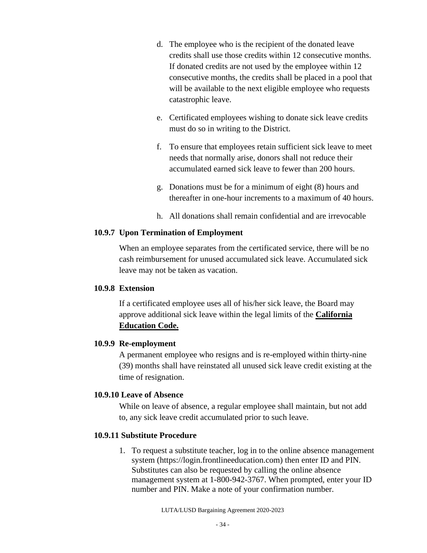- d. The employee who is the recipient of the donated leave credits shall use those credits within 12 consecutive months. If donated credits are not used by the employee within 12 consecutive months, the credits shall be placed in a pool that will be available to the next eligible employee who requests catastrophic leave.
- e. Certificated employees wishing to donate sick leave credits must do so in writing to the District.
- f. To ensure that employees retain sufficient sick leave to meet needs that normally arise, donors shall not reduce their accumulated earned sick leave to fewer than 200 hours.
- g. Donations must be for a minimum of eight (8) hours and thereafter in one-hour increments to a maximum of 40 hours.
- h. All donations shall remain confidential and are irrevocable

## **10.9.7 Upon Termination of Employment**

When an employee separates from the certificated service, there will be no cash reimbursement for unused accumulated sick leave. Accumulated sick leave may not be taken as vacation.

## <span id="page-33-0"></span>**10.9.8 Extension**

If a certificated employee uses all of his/her sick leave, the Board may approve additional sick leave within the legal limits of the **California Education Code.**

## <span id="page-33-1"></span>**10.9.9 Re-employment**

A permanent employee who resigns and is re-employed within thirty-nine (39) months shall have reinstated all unused sick leave credit existing at the time of resignation.

## <span id="page-33-2"></span>**10.9.10 Leave of Absence**

While on leave of absence, a regular employee shall maintain, but not add to, any sick leave credit accumulated prior to such leave.

# <span id="page-33-3"></span>**10.9.11 Substitute Procedure**

1. To request a substitute teacher, log in to the online absence management system (https://login.frontlineeducation.com) then enter ID and PIN. Substitutes can also be requested by calling the online absence management system at 1-800-942-3767. When prompted, enter your ID number and PIN. Make a note of your confirmation number.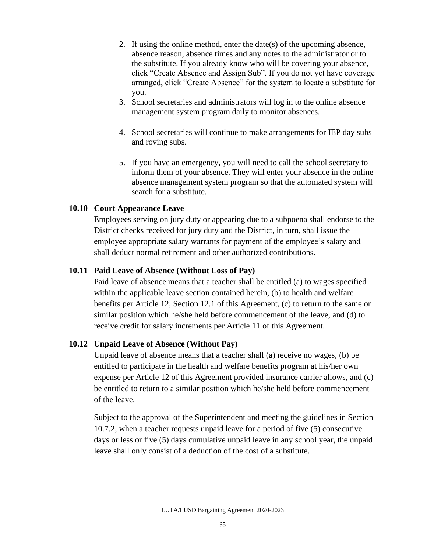- 2. If using the online method, enter the date(s) of the upcoming absence, absence reason, absence times and any notes to the administrator or to the substitute. If you already know who will be covering your absence, click "Create Absence and Assign Sub". If you do not yet have coverage arranged, click "Create Absence" for the system to locate a substitute for you.
- 3. School secretaries and administrators will log in to the online absence management system program daily to monitor absences.
- 4. School secretaries will continue to make arrangements for IEP day subs and roving subs.
- 5. If you have an emergency, you will need to call the school secretary to inform them of your absence. They will enter your absence in the online absence management system program so that the automated system will search for a substitute.

## <span id="page-34-0"></span>**10.10 Court Appearance Leave**

Employees serving on jury duty or appearing due to a subpoena shall endorse to the District checks received for jury duty and the District, in turn, shall issue the employee appropriate salary warrants for payment of the employee's salary and shall deduct normal retirement and other authorized contributions.

#### **10.11 Paid Leave of Absence (Without Loss of Pay)**

Paid leave of absence means that a teacher shall be entitled (a) to wages specified within the applicable leave section contained herein, (b) to health and welfare benefits per Article 12, Section 12.1 of this Agreement, (c) to return to the same or similar position which he/she held before commencement of the leave, and (d) to receive credit for salary increments per Article 11 of this Agreement.

#### <span id="page-34-1"></span>**10.12 Unpaid Leave of Absence (Without Pay)**

Unpaid leave of absence means that a teacher shall (a) receive no wages, (b) be entitled to participate in the health and welfare benefits program at his/her own expense per Article 12 of this Agreement provided insurance carrier allows, and (c) be entitled to return to a similar position which he/she held before commencement of the leave.

Subject to the approval of the Superintendent and meeting the guidelines in Section 10.7.2, when a teacher requests unpaid leave for a period of five (5) consecutive days or less or five (5) days cumulative unpaid leave in any school year, the unpaid leave shall only consist of a deduction of the cost of a substitute.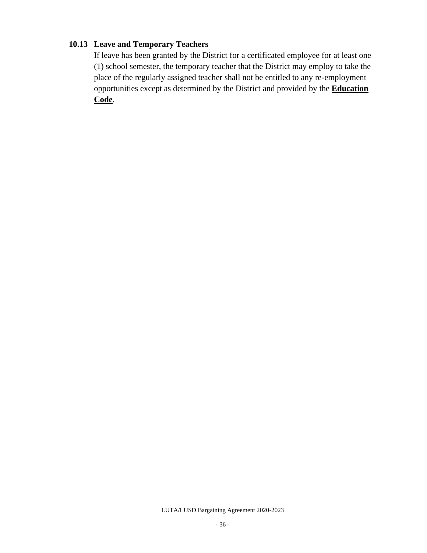# <span id="page-35-0"></span>**10.13 Leave and Temporary Teachers**

If leave has been granted by the District for a certificated employee for at least one (1) school semester, the temporary teacher that the District may employ to take the place of the regularly assigned teacher shall not be entitled to any re-employment opportunities except as determined by the District and provided by the **Education Code**.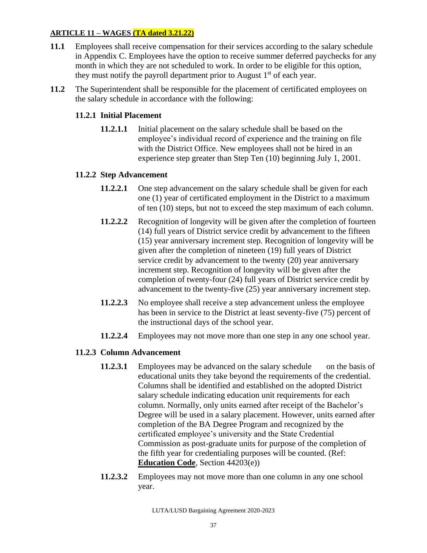## **ARTICLE 11 – WAGES (TA dated 3.21.22)**

- **11.1** Employees shall receive compensation for their services according to the salary schedule in Appendix C. Employees have the option to receive summer deferred paychecks for any month in which they are not scheduled to work. In order to be eligible for this option, they must notify the payroll department prior to August 1<sup>st</sup> of each year.
- **11.2** The Superintendent shall be responsible for the placement of certificated employees on the salary schedule in accordance with the following:

## **11.2.1 Initial Placement**

**11.2.1.1** Initial placement on the salary schedule shall be based on the employee's individual record of experience and the training on file with the District Office. New employees shall not be hired in an experience step greater than Step Ten (10) beginning July 1, 2001.

## **11.2.2 Step Advancement**

- **11.2.2.1** One step advancement on the salary schedule shall be given for each one (1) year of certificated employment in the District to a maximum of ten (10) steps, but not to exceed the step maximum of each column.
- **11.2.2.2** Recognition of longevity will be given after the completion of fourteen (14) full years of District service credit by advancement to the fifteen (15) year anniversary increment step. Recognition of longevity will be given after the completion of nineteen (19) full years of District service credit by advancement to the twenty (20) year anniversary increment step. Recognition of longevity will be given after the completion of twenty-four (24) full years of District service credit by advancement to the twenty-five (25) year anniversary increment step.
- **11.2.2.3** No employee shall receive a step advancement unless the employee has been in service to the District at least seventy-five (75) percent of the instructional days of the school year.
- **11.2.2.4** Employees may not move more than one step in any one school year.

## **11.2.3 Column Advancement**

- **11.2.3.1** Employees may be advanced on the salary schedule on the basis of educational units they take beyond the requirements of the credential. Columns shall be identified and established on the adopted District salary schedule indicating education unit requirements for each column. Normally, only units earned after receipt of the Bachelor's Degree will be used in a salary placement. However, units earned after completion of the BA Degree Program and recognized by the certificated employee's university and the State Credential Commission as post-graduate units for purpose of the completion of the fifth year for credentialing purposes will be counted. (Ref: **Education Code**, Section 44203(e))
- **11.2.3.2** Employees may not move more than one column in any one school year.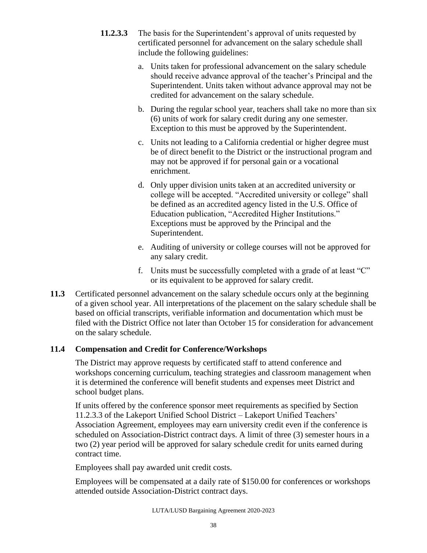- **11.2.3.3** The basis for the Superintendent's approval of units requested by certificated personnel for advancement on the salary schedule shall include the following guidelines:
	- a. Units taken for professional advancement on the salary schedule should receive advance approval of the teacher's Principal and the Superintendent. Units taken without advance approval may not be credited for advancement on the salary schedule.
	- b. During the regular school year, teachers shall take no more than six (6) units of work for salary credit during any one semester. Exception to this must be approved by the Superintendent.
	- c. Units not leading to a California credential or higher degree must be of direct benefit to the District or the instructional program and may not be approved if for personal gain or a vocational enrichment.
	- d. Only upper division units taken at an accredited university or college will be accepted. "Accredited university or college" shall be defined as an accredited agency listed in the U.S. Office of Education publication, "Accredited Higher Institutions." Exceptions must be approved by the Principal and the Superintendent.
	- e. Auditing of university or college courses will not be approved for any salary credit.
	- f. Units must be successfully completed with a grade of at least "C" or its equivalent to be approved for salary credit.
- **11.3** Certificated personnel advancement on the salary schedule occurs only at the beginning of a given school year. All interpretations of the placement on the salary schedule shall be based on official transcripts, verifiable information and documentation which must be filed with the District Office not later than October 15 for consideration for advancement on the salary schedule.

## **11.4 Compensation and Credit for Conference/Workshops**

The District may approve requests by certificated staff to attend conference and workshops concerning curriculum, teaching strategies and classroom management when it is determined the conference will benefit students and expenses meet District and school budget plans.

If units offered by the conference sponsor meet requirements as specified by Section 11.2.3.3 of the Lakeport Unified School District – Lakeport Unified Teachers' Association Agreement, employees may earn university credit even if the conference is scheduled on Association-District contract days. A limit of three (3) semester hours in a two (2) year period will be approved for salary schedule credit for units earned during contract time.

Employees shall pay awarded unit credit costs.

Employees will be compensated at a daily rate of \$150.00 for conferences or workshops attended outside Association-District contract days.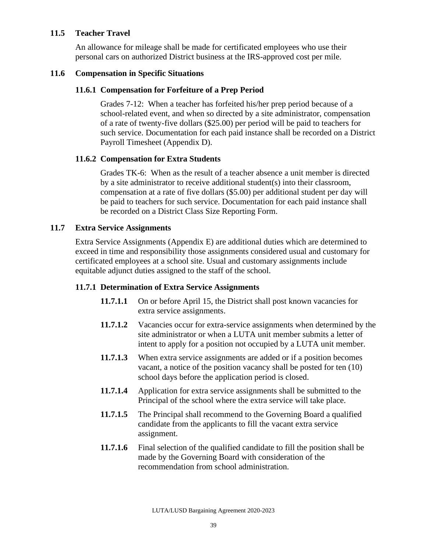### **11.5 Teacher Travel**

An allowance for mileage shall be made for certificated employees who use their personal cars on authorized District business at the IRS-approved cost per mile.

## **11.6 Compensation in Specific Situations**

## **11.6.1 Compensation for Forfeiture of a Prep Period**

Grades 7-12: When a teacher has forfeited his/her prep period because of a school-related event, and when so directed by a site administrator, compensation of a rate of twenty-five dollars (\$25.00) per period will be paid to teachers for such service. Documentation for each paid instance shall be recorded on a District Payroll Timesheet (Appendix D).

## **11.6.2 Compensation for Extra Students**

Grades TK-6: When as the result of a teacher absence a unit member is directed by a site administrator to receive additional student(s) into their classroom, compensation at a rate of five dollars (\$5.00) per additional student per day will be paid to teachers for such service. Documentation for each paid instance shall be recorded on a District Class Size Reporting Form.

## **11.7 Extra Service Assignments**

Extra Service Assignments (Appendix E) are additional duties which are determined to exceed in time and responsibility those assignments considered usual and customary for certificated employees at a school site. Usual and customary assignments include equitable adjunct duties assigned to the staff of the school.

#### **11.7.1 Determination of Extra Service Assignments**

- **11.7.1.1** On or before April 15, the District shall post known vacancies for extra service assignments.
- **11.7.1.2** Vacancies occur for extra-service assignments when determined by the site administrator or when a LUTA unit member submits a letter of intent to apply for a position not occupied by a LUTA unit member.
- **11.7.1.3** When extra service assignments are added or if a position becomes vacant, a notice of the position vacancy shall be posted for ten (10) school days before the application period is closed.
- **11.7.1.4** Application for extra service assignments shall be submitted to the Principal of the school where the extra service will take place.
- **11.7.1.5** The Principal shall recommend to the Governing Board a qualified candidate from the applicants to fill the vacant extra service assignment.
- **11.7.1.6** Final selection of the qualified candidate to fill the position shall be made by the Governing Board with consideration of the recommendation from school administration.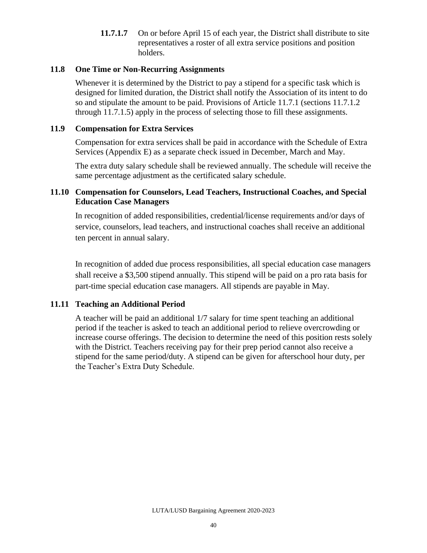**11.7.1.7** On or before April 15 of each year, the District shall distribute to site representatives a roster of all extra service positions and position holders.

#### **11.8 One Time or Non-Recurring Assignments**

Whenever it is determined by the District to pay a stipend for a specific task which is designed for limited duration, the District shall notify the Association of its intent to do so and stipulate the amount to be paid. Provisions of Article 11.7.1 (sections 11.7.1.2 through 11.7.1.5) apply in the process of selecting those to fill these assignments.

#### **11.9 Compensation for Extra Services**

Compensation for extra services shall be paid in accordance with the Schedule of Extra Services (Appendix E) as a separate check issued in December, March and May.

The extra duty salary schedule shall be reviewed annually. The schedule will receive the same percentage adjustment as the certificated salary schedule.

## **11.10 Compensation for Counselors, Lead Teachers, Instructional Coaches, and Special Education Case Managers**

In recognition of added responsibilities, credential/license requirements and/or days of service, counselors, lead teachers, and instructional coaches shall receive an additional ten percent in annual salary.

In recognition of added due process responsibilities, all special education case managers shall receive a \$3,500 stipend annually. This stipend will be paid on a pro rata basis for part-time special education case managers. All stipends are payable in May.

#### **11.11 Teaching an Additional Period**

A teacher will be paid an additional 1/7 salary for time spent teaching an additional period if the teacher is asked to teach an additional period to relieve overcrowding or increase course offerings. The decision to determine the need of this position rests solely with the District. Teachers receiving pay for their prep period cannot also receive a stipend for the same period/duty. A stipend can be given for afterschool hour duty, per the Teacher's Extra Duty Schedule.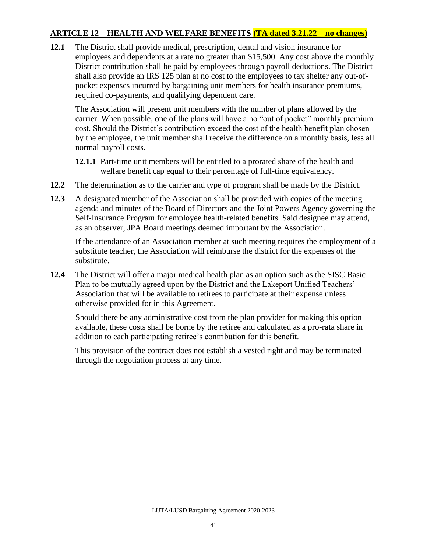## **ARTICLE 12 – HEALTH AND WELFARE BENEFITS (TA dated 3.21.22 – no changes)**

**12.1** The District shall provide medical, prescription, dental and vision insurance for employees and dependents at a rate no greater than \$15,500. Any cost above the monthly District contribution shall be paid by employees through payroll deductions. The District shall also provide an IRS 125 plan at no cost to the employees to tax shelter any out-ofpocket expenses incurred by bargaining unit members for health insurance premiums, required co-payments, and qualifying dependent care.

The Association will present unit members with the number of plans allowed by the carrier. When possible, one of the plans will have a no "out of pocket" monthly premium cost. Should the District's contribution exceed the cost of the health benefit plan chosen by the employee, the unit member shall receive the difference on a monthly basis, less all normal payroll costs.

**12.1.1** Part-time unit members will be entitled to a prorated share of the health and welfare benefit cap equal to their percentage of full-time equivalency.

- **12.2** The determination as to the carrier and type of program shall be made by the District.
- **12.3** A designated member of the Association shall be provided with copies of the meeting agenda and minutes of the Board of Directors and the Joint Powers Agency governing the Self-Insurance Program for employee health-related benefits. Said designee may attend, as an observer, JPA Board meetings deemed important by the Association.

If the attendance of an Association member at such meeting requires the employment of a substitute teacher, the Association will reimburse the district for the expenses of the substitute.

**12.4** The District will offer a major medical health plan as an option such as the SISC Basic Plan to be mutually agreed upon by the District and the Lakeport Unified Teachers' Association that will be available to retirees to participate at their expense unless otherwise provided for in this Agreement.

Should there be any administrative cost from the plan provider for making this option available, these costs shall be borne by the retiree and calculated as a pro-rata share in addition to each participating retiree's contribution for this benefit.

This provision of the contract does not establish a vested right and may be terminated through the negotiation process at any time.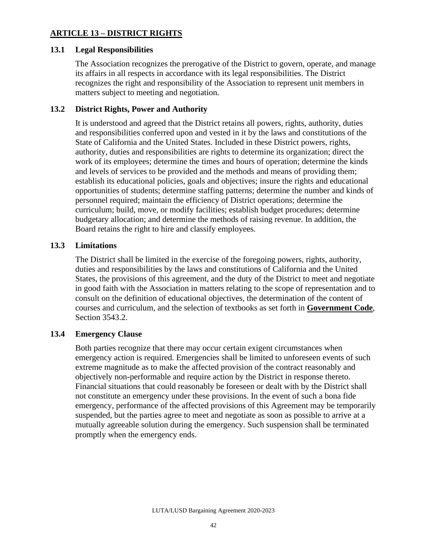## **ARTICLE 13 – DISTRICT RIGHTS**

#### **13.1 Legal Responsibilities**

The Association recognizes the prerogative of the District to govern, operate, and manage its affairs in all respects in accordance with its legal responsibilities. The District recognizes the right and responsibility of the Association to represent unit members in matters subject to meeting and negotiation.

### **13.2 District Rights, Power and Authority**

It is understood and agreed that the District retains all powers, rights, authority, duties and responsibilities conferred upon and vested in it by the laws and constitutions of the State of California and the United States. Included in these District powers, rights, authority, duties and responsibilities are rights to determine its organization; direct the work of its employees; determine the times and hours of operation; determine the kinds and levels of services to be provided and the methods and means of providing them; establish its educational policies, goals and objectives; insure the rights and educational opportunities of students; determine staffing patterns; determine the number and kinds of personnel required; maintain the efficiency of District operations; determine the curriculum; build, move, or modify facilities; establish budget procedures; determine budgetary allocation; and determine the methods of raising revenue. In addition, the Board retains the right to hire and classify employees.

#### **13.3 Limitations**

The District shall be limited in the exercise of the foregoing powers, rights, authority, duties and responsibilities by the laws and constitutions of California and the United States, the provisions of this agreement, and the duty of the District to meet and negotiate in good faith with the Association in matters relating to the scope of representation and to consult on the definition of educational objectives, the determination of the content of courses and curriculum, and the selection of textbooks as set forth in **Government Code**, Section 3543.2.

#### **13.4 Emergency Clause**

Both parties recognize that there may occur certain exigent circumstances when emergency action is required. Emergencies shall be limited to unforeseen events of such extreme magnitude as to make the affected provision of the contract reasonably and objectively non-performable and require action by the District in response thereto. Financial situations that could reasonably be foreseen or dealt with by the District shall not constitute an emergency under these provisions. In the event of such a bona fide emergency, performance of the affected provisions of this Agreement may be temporarily suspended, but the parties agree to meet and negotiate as soon as possible to arrive at a mutually agreeable solution during the emergency. Such suspension shall be terminated promptly when the emergency ends.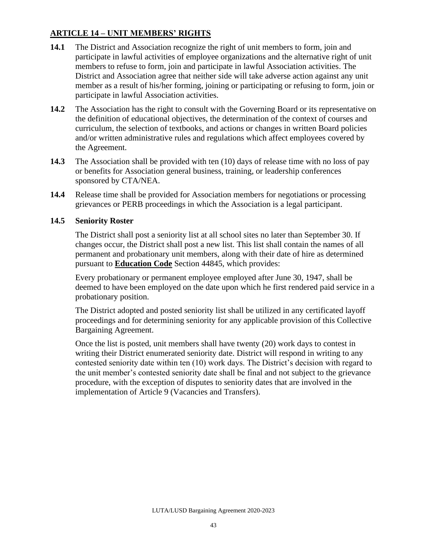## **ARTICLE 14 – UNIT MEMBERS' RIGHTS**

- **14.1** The District and Association recognize the right of unit members to form, join and participate in lawful activities of employee organizations and the alternative right of unit members to refuse to form, join and participate in lawful Association activities. The District and Association agree that neither side will take adverse action against any unit member as a result of his/her forming, joining or participating or refusing to form, join or participate in lawful Association activities.
- **14.2** The Association has the right to consult with the Governing Board or its representative on the definition of educational objectives, the determination of the context of courses and curriculum, the selection of textbooks, and actions or changes in written Board policies and/or written administrative rules and regulations which affect employees covered by the Agreement.
- **14.3** The Association shall be provided with ten (10) days of release time with no loss of pay or benefits for Association general business, training, or leadership conferences sponsored by CTA/NEA.
- **14.4** Release time shall be provided for Association members for negotiations or processing grievances or PERB proceedings in which the Association is a legal participant.

#### **14.5 Seniority Roster**

The District shall post a seniority list at all school sites no later than September 30. If changes occur, the District shall post a new list. This list shall contain the names of all permanent and probationary unit members, along with their date of hire as determined pursuant to **Education Code** Section 44845, which provides:

Every probationary or permanent employee employed after June 30, 1947, shall be deemed to have been employed on the date upon which he first rendered paid service in a probationary position.

The District adopted and posted seniority list shall be utilized in any certificated layoff proceedings and for determining seniority for any applicable provision of this Collective Bargaining Agreement.

Once the list is posted, unit members shall have twenty (20) work days to contest in writing their District enumerated seniority date. District will respond in writing to any contested seniority date within ten (10) work days. The District's decision with regard to the unit member's contested seniority date shall be final and not subject to the grievance procedure, with the exception of disputes to seniority dates that are involved in the implementation of Article 9 (Vacancies and Transfers).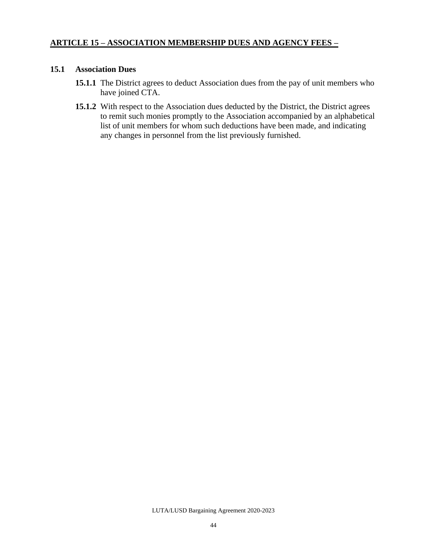## **ARTICLE 15 – ASSOCIATION MEMBERSHIP DUES AND AGENCY FEES –**

#### **15.1 Association Dues**

- **15.1.1** The District agrees to deduct Association dues from the pay of unit members who have joined CTA.
- 15.1.2 With respect to the Association dues deducted by the District, the District agrees to remit such monies promptly to the Association accompanied by an alphabetical list of unit members for whom such deductions have been made, and indicating any changes in personnel from the list previously furnished.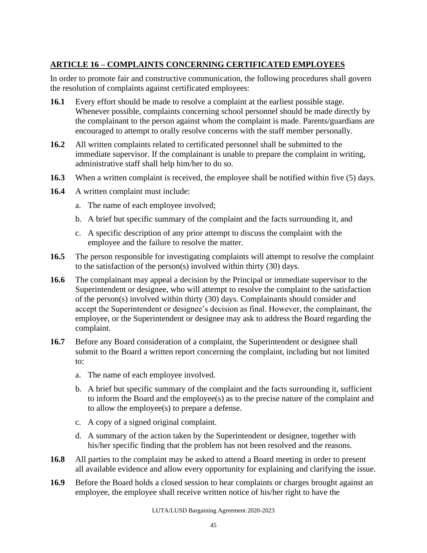## **ARTICLE 16 – COMPLAINTS CONCERNING CERTIFICATED EMPLOYEES**

In order to promote fair and constructive communication, the following procedures shall govern the resolution of complaints against certificated employees:

- **16.1** Every effort should be made to resolve a complaint at the earliest possible stage. Whenever possible, complaints concerning school personnel should be made directly by the complainant to the person against whom the complaint is made. Parents/guardians are encouraged to attempt to orally resolve concerns with the staff member personally.
- **16.2** All written complaints related to certificated personnel shall be submitted to the immediate supervisor. If the complainant is unable to prepare the complaint in writing, administrative staff shall help him/her to do so.
- **16.3** When a written complaint is received, the employee shall be notified within five (5) days.
- **16.4** A written complaint must include:
	- a. The name of each employee involved;
	- b. A brief but specific summary of the complaint and the facts surrounding it, and
	- c. A specific description of any prior attempt to discuss the complaint with the employee and the failure to resolve the matter.
- **16.5** The person responsible for investigating complaints will attempt to resolve the complaint to the satisfaction of the person(s) involved within thirty (30) days.
- **16.6** The complainant may appeal a decision by the Principal or immediate supervisor to the Superintendent or designee, who will attempt to resolve the complaint to the satisfaction of the person(s) involved within thirty (30) days. Complainants should consider and accept the Superintendent or designee's decision as final. However, the complainant, the employee, or the Superintendent or designee may ask to address the Board regarding the complaint.
- **16.7** Before any Board consideration of a complaint, the Superintendent or designee shall submit to the Board a written report concerning the complaint, including but not limited to:
	- a. The name of each employee involved.
	- b. A brief but specific summary of the complaint and the facts surrounding it, sufficient to inform the Board and the employee(s) as to the precise nature of the complaint and to allow the employee(s) to prepare a defense.
	- c. A copy of a signed original complaint.
	- d. A summary of the action taken by the Superintendent or designee, together with his/her specific finding that the problem has not been resolved and the reasons.
- **16.8** All parties to the complaint may be asked to attend a Board meeting in order to present all available evidence and allow every opportunity for explaining and clarifying the issue.
- **16.9** Before the Board holds a closed session to hear complaints or charges brought against an employee, the employee shall receive written notice of his/her right to have the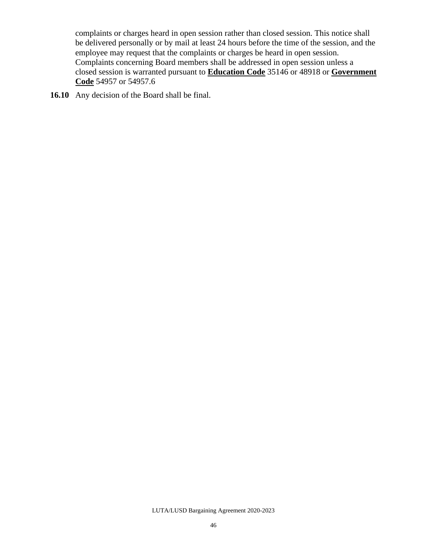complaints or charges heard in open session rather than closed session. This notice shall be delivered personally or by mail at least 24 hours before the time of the session, and the employee may request that the complaints or charges be heard in open session. Complaints concerning Board members shall be addressed in open session unless a closed session is warranted pursuant to **Education Code** 35146 or 48918 or **Government Code** 54957 or 54957.6

**16.10** Any decision of the Board shall be final.

LUTA/LUSD Bargaining Agreement 2020-2023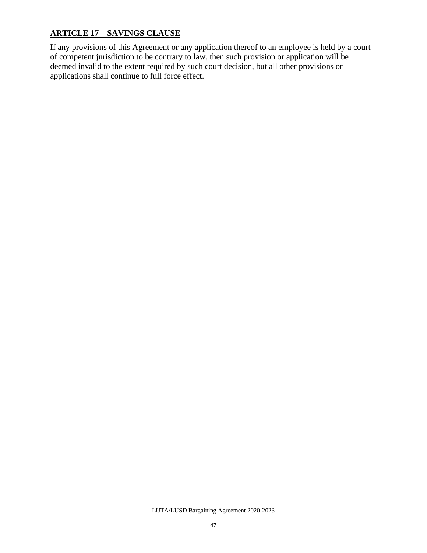## **ARTICLE 17 – SAVINGS CLAUSE**

If any provisions of this Agreement or any application thereof to an employee is held by a court of competent jurisdiction to be contrary to law, then such provision or application will be deemed invalid to the extent required by such court decision, but all other provisions or applications shall continue to full force effect.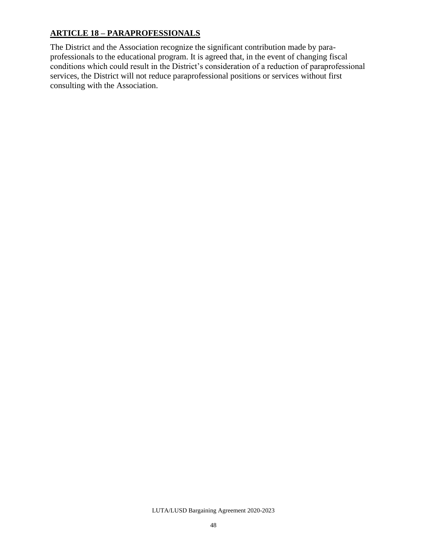## **ARTICLE 18 – PARAPROFESSIONALS**

The District and the Association recognize the significant contribution made by paraprofessionals to the educational program. It is agreed that, in the event of changing fiscal conditions which could result in the District's consideration of a reduction of paraprofessional services, the District will not reduce paraprofessional positions or services without first consulting with the Association.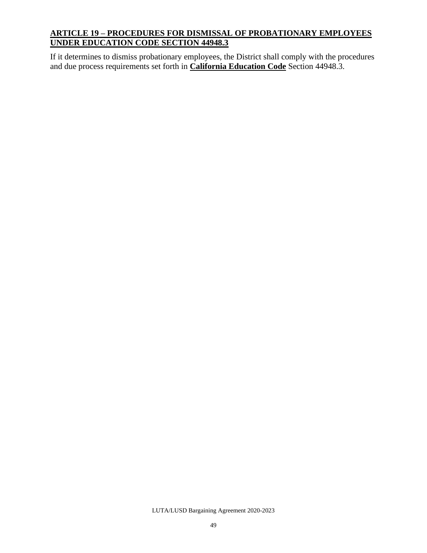## **ARTICLE 19 – PROCEDURES FOR DISMISSAL OF PROBATIONARY EMPLOYEES UNDER EDUCATION CODE SECTION 44948.3**

If it determines to dismiss probationary employees, the District shall comply with the procedures and due process requirements set forth in **California Education Code** Section 44948.3.

LUTA/LUSD Bargaining Agreement 2020-2023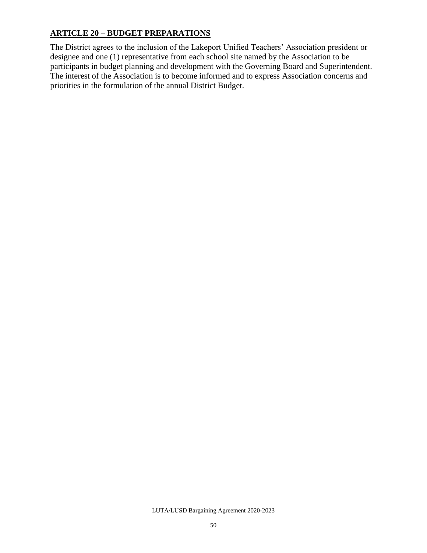## **ARTICLE 20 – BUDGET PREPARATIONS**

The District agrees to the inclusion of the Lakeport Unified Teachers' Association president or designee and one (1) representative from each school site named by the Association to be participants in budget planning and development with the Governing Board and Superintendent. The interest of the Association is to become informed and to express Association concerns and priorities in the formulation of the annual District Budget.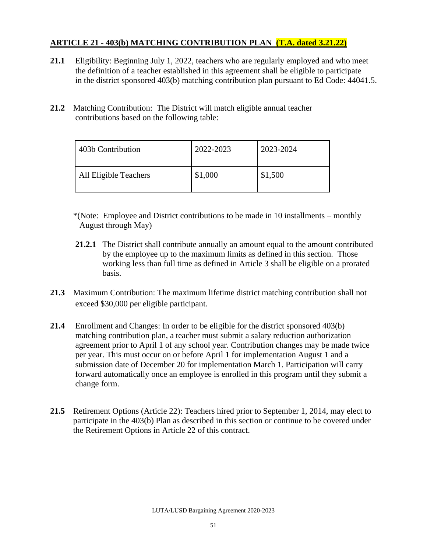## **ARTICLE 21 - 403(b) MATCHING CONTRIBUTION PLAN (T.A. dated 3.21.22)**

- **21.1** Eligibility: Beginning July 1, 2022, teachers who are regularly employed and who meet the definition of a teacher established in this agreement shall be eligible to participate in the district sponsored 403(b) matching contribution plan pursuant to Ed Code: 44041.5.
- **21.2** Matching Contribution: The District will match eligible annual teacher contributions based on the following table:

| l 403b Contribution   | 2022-2023 | 2023-2024 |
|-----------------------|-----------|-----------|
| All Eligible Teachers | \$1,000   | \$1,500   |

- \*(Note: Employee and District contributions to be made in 10 installments monthly August through May)
- **21.2.1** The District shall contribute annually an amount equal to the amount contributed by the employee up to the maximum limits as defined in this section. Those working less than full time as defined in Article 3 shall be eligible on a prorated basis.
- **21.3** Maximum Contribution: The maximum lifetime district matching contribution shall not exceed \$30,000 per eligible participant.
- **21.4** Enrollment and Changes: In order to be eligible for the district sponsored 403(b) matching contribution plan, a teacher must submit a salary reduction authorization agreement prior to April 1 of any school year. Contribution changes may be made twice per year. This must occur on or before April 1 for implementation August 1 and a submission date of December 20 for implementation March 1. Participation will carry forward automatically once an employee is enrolled in this program until they submit a change form.
- **21.5** Retirement Options (Article 22): Teachers hired prior to September 1, 2014, may elect to participate in the 403(b) Plan as described in this section or continue to be covered under the Retirement Options in Article 22 of this contract.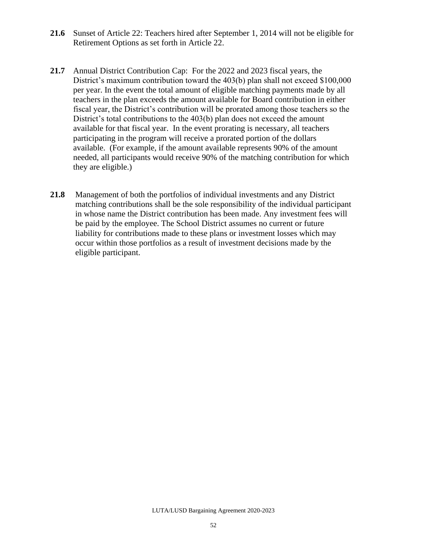- **21.6** Sunset of Article 22: Teachers hired after September 1, 2014 will not be eligible for Retirement Options as set forth in Article 22.
- **21.7** Annual District Contribution Cap: For the 2022 and 2023 fiscal years, the District's maximum contribution toward the 403(b) plan shall not exceed \$100,000 per year. In the event the total amount of eligible matching payments made by all teachers in the plan exceeds the amount available for Board contribution in either fiscal year, the District's contribution will be prorated among those teachers so the District's total contributions to the 403(b) plan does not exceed the amount available for that fiscal year. In the event prorating is necessary, all teachers participating in the program will receive a prorated portion of the dollars available. (For example, if the amount available represents 90% of the amount needed, all participants would receive 90% of the matching contribution for which they are eligible.)
- **21.8** Management of both the portfolios of individual investments and any District matching contributions shall be the sole responsibility of the individual participant in whose name the District contribution has been made. Any investment fees will be paid by the employee. The School District assumes no current or future liability for contributions made to these plans or investment losses which may occur within those portfolios as a result of investment decisions made by the eligible participant.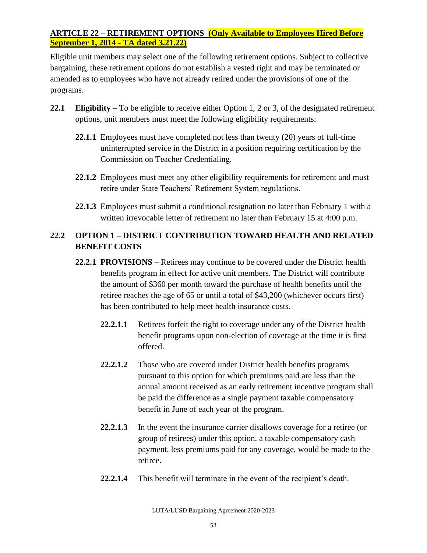## **ARTICLE 22 – RETIREMENT OPTIONS (Only Available to Employees Hired Before September 1, 2014 - TA dated 3.21.22)**

Eligible unit members may select one of the following retirement options. Subject to collective bargaining, these retirement options do not establish a vested right and may be terminated or amended as to employees who have not already retired under the provisions of one of the programs.

- **22.1 Eligibility** To be eligible to receive either Option 1, 2 or 3, of the designated retirement options, unit members must meet the following eligibility requirements:
	- **22.1.1** Employees must have completed not less than twenty (20) years of full-time uninterrupted service in the District in a position requiring certification by the Commission on Teacher Credentialing.
	- **22.1.2** Employees must meet any other eligibility requirements for retirement and must retire under State Teachers' Retirement System regulations.
	- **22.1.3** Employees must submit a conditional resignation no later than February 1 with a written irrevocable letter of retirement no later than February 15 at 4:00 p.m.

## **22.2 OPTION 1 – DISTRICT CONTRIBUTION TOWARD HEALTH AND RELATED BENEFIT COSTS**

- **22.2.1 PROVISIONS** Retirees may continue to be covered under the District health benefits program in effect for active unit members. The District will contribute the amount of \$360 per month toward the purchase of health benefits until the retiree reaches the age of 65 or until a total of \$43,200 (whichever occurs first) has been contributed to help meet health insurance costs.
	- **22.2.1.1** Retirees forfeit the right to coverage under any of the District health benefit programs upon non-election of coverage at the time it is first offered.
	- **22.2.1.2** Those who are covered under District health benefits programs pursuant to this option for which premiums paid are less than the annual amount received as an early retirement incentive program shall be paid the difference as a single payment taxable compensatory benefit in June of each year of the program.
	- **22.2.1.3** In the event the insurance carrier disallows coverage for a retiree (or group of retirees) under this option, a taxable compensatory cash payment, less premiums paid for any coverage, would be made to the retiree.
	- **22.2.1.4** This benefit will terminate in the event of the recipient's death.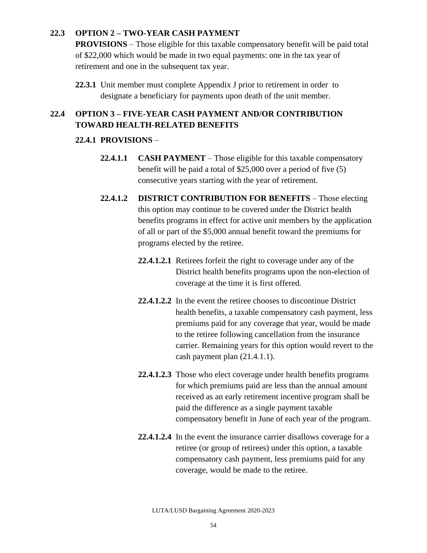## **22.3 OPTION 2 – TWO-YEAR CASH PAYMENT**

**PROVISIONS** – Those eligible for this taxable compensatory benefit will be paid total of \$22,000 which would be made in two equal payments: one in the tax year of retirement and one in the subsequent tax year.

 **22.3.1** Unit member must complete Appendix J prior to retirement in order to designate a beneficiary for payments upon death of the unit member.

## **22.4 OPTION 3 – FIVE-YEAR CASH PAYMENT AND/OR CONTRIBUTION TOWARD HEALTH-RELATED BENEFITS**

## **22.4.1 PROVISIONS** –

- **22.4.1.1 CASH PAYMENT** Those eligible for this taxable compensatory benefit will be paid a total of \$25,000 over a period of five (5) consecutive years starting with the year of retirement.
- **22.4.1.2 DISTRICT CONTRIBUTION FOR BENEFITS** Those electing this option may continue to be covered under the District health benefits programs in effect for active unit members by the application of all or part of the \$5,000 annual benefit toward the premiums for programs elected by the retiree.
	- **22.4.1.2.1** Retirees forfeit the right to coverage under any of the District health benefits programs upon the non-election of coverage at the time it is first offered.
	- **22.4.1.2.2** In the event the retiree chooses to discontinue District health benefits, a taxable compensatory cash payment, less premiums paid for any coverage that year, would be made to the retiree following cancellation from the insurance carrier. Remaining years for this option would revert to the cash payment plan (21.4.1.1).
	- **22.4.1.2.3** Those who elect coverage under health benefits programs for which premiums paid are less than the annual amount received as an early retirement incentive program shall be paid the difference as a single payment taxable compensatory benefit in June of each year of the program.
	- **22.4.1.2.4** In the event the insurance carrier disallows coverage for a retiree (or group of retirees) under this option, a taxable compensatory cash payment, less premiums paid for any coverage, would be made to the retiree.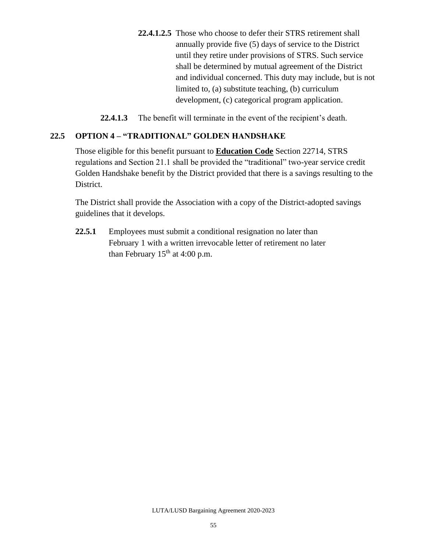- **22.4.1.2.5** Those who choose to defer their STRS retirement shall annually provide five (5) days of service to the District until they retire under provisions of STRS. Such service shall be determined by mutual agreement of the District and individual concerned. This duty may include, but is not limited to, (a) substitute teaching, (b) curriculum development, (c) categorical program application.
- **22.4.1.3** The benefit will terminate in the event of the recipient's death.

## **22.5 OPTION 4 – "TRADITIONAL" GOLDEN HANDSHAKE**

Those eligible for this benefit pursuant to **Education Code** Section 22714, STRS regulations and Section 21.1 shall be provided the "traditional" two-year service credit Golden Handshake benefit by the District provided that there is a savings resulting to the District.

The District shall provide the Association with a copy of the District-adopted savings guidelines that it develops.

**22.5.1** Employees must submit a conditional resignation no later than February 1 with a written irrevocable letter of retirement no later than February  $15<sup>th</sup>$  at 4:00 p.m.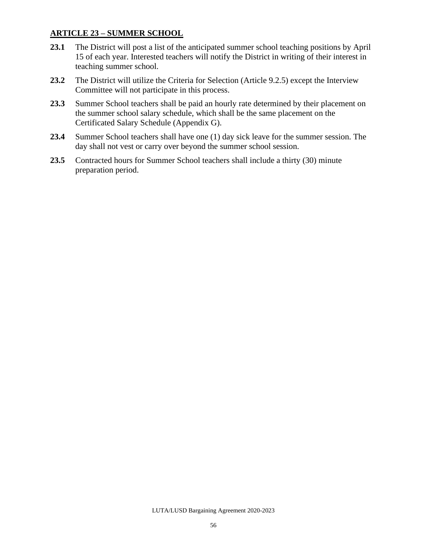## **ARTICLE 23 – SUMMER SCHOOL**

- **23.1** The District will post a list of the anticipated summer school teaching positions by April 15 of each year. Interested teachers will notify the District in writing of their interest in teaching summer school.
- **23.2** The District will utilize the Criteria for Selection (Article 9.2.5) except the Interview Committee will not participate in this process.
- **23.3** Summer School teachers shall be paid an hourly rate determined by their placement on the summer school salary schedule, which shall be the same placement on the Certificated Salary Schedule (Appendix G).
- **23.4** Summer School teachers shall have one (1) day sick leave for the summer session. The day shall not vest or carry over beyond the summer school session.
- **23.5** Contracted hours for Summer School teachers shall include a thirty (30) minute preparation period.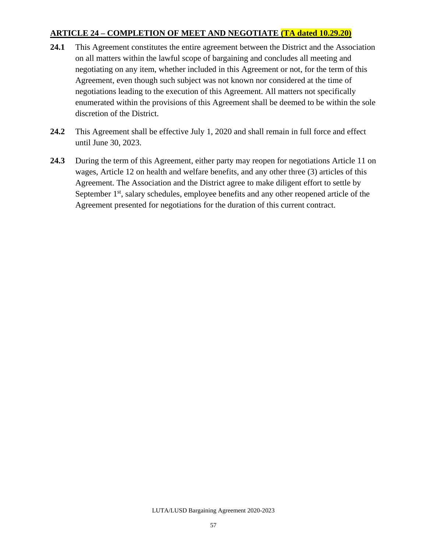## **ARTICLE 24 – COMPLETION OF MEET AND NEGOTIATE (TA dated 10.29.20)**

- **24.1** This Agreement constitutes the entire agreement between the District and the Association on all matters within the lawful scope of bargaining and concludes all meeting and negotiating on any item, whether included in this Agreement or not, for the term of this Agreement, even though such subject was not known nor considered at the time of negotiations leading to the execution of this Agreement. All matters not specifically enumerated within the provisions of this Agreement shall be deemed to be within the sole discretion of the District.
- **24.2** This Agreement shall be effective July 1, 2020 and shall remain in full force and effect until June 30, 2023.
- **24.3** During the term of this Agreement, either party may reopen for negotiations Article 11 on wages, Article 12 on health and welfare benefits, and any other three (3) articles of this Agreement. The Association and the District agree to make diligent effort to settle by September  $1<sup>st</sup>$ , salary schedules, employee benefits and any other reopened article of the Agreement presented for negotiations for the duration of this current contract.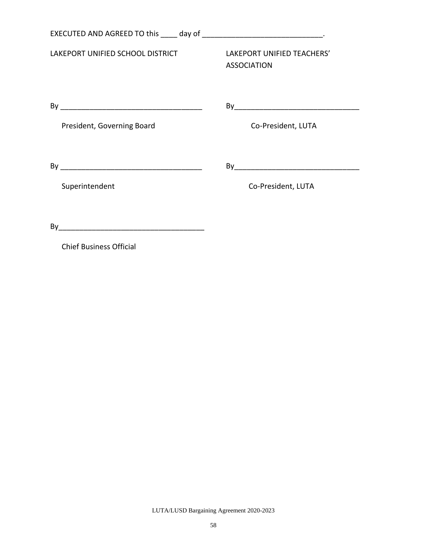| EXECUTED AND AGREED TO this _____ day of _________________________________. |                                                  |
|-----------------------------------------------------------------------------|--------------------------------------------------|
| LAKEPORT UNIFIED SCHOOL DISTRICT                                            | LAKEPORT UNIFIED TEACHERS'<br><b>ASSOCIATION</b> |
|                                                                             |                                                  |
| President, Governing Board                                                  | Co-President, LUTA                               |
|                                                                             |                                                  |
| Superintendent                                                              | Co-President, LUTA                               |
| By                                                                          |                                                  |

Chief Business Official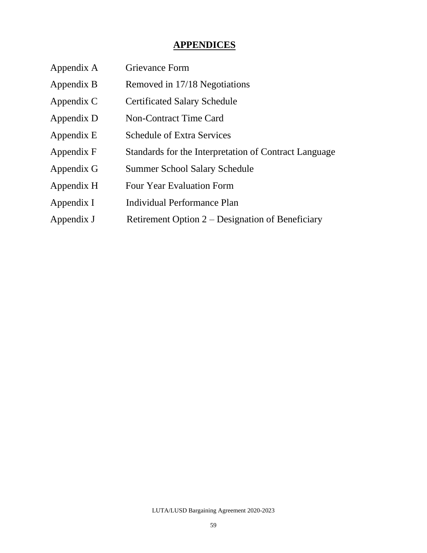# **APPENDICES**

| Appendix A | <b>Grievance Form</b>                                 |
|------------|-------------------------------------------------------|
| Appendix B | Removed in 17/18 Negotiations                         |
| Appendix C | <b>Certificated Salary Schedule</b>                   |
| Appendix D | <b>Non-Contract Time Card</b>                         |
| Appendix E | <b>Schedule of Extra Services</b>                     |
| Appendix F | Standards for the Interpretation of Contract Language |
| Appendix G | <b>Summer School Salary Schedule</b>                  |
| Appendix H | <b>Four Year Evaluation Form</b>                      |
| Appendix I | <b>Individual Performance Plan</b>                    |
| Appendix J | Retirement Option $2$ – Designation of Beneficiary    |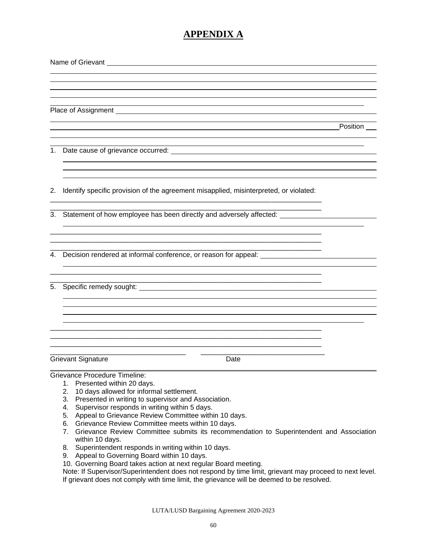## **APPENDIX A**

|    | Name of Grievant Name of Grievant Name of Grievant Name of Grievant Name of School and Name of School and Name of School and Name of School and Name of School and Name of School and Name of School and Name of School and Na       |          |
|----|--------------------------------------------------------------------------------------------------------------------------------------------------------------------------------------------------------------------------------------|----------|
|    |                                                                                                                                                                                                                                      |          |
|    |                                                                                                                                                                                                                                      |          |
|    |                                                                                                                                                                                                                                      |          |
|    |                                                                                                                                                                                                                                      | Position |
|    |                                                                                                                                                                                                                                      |          |
|    |                                                                                                                                                                                                                                      |          |
| 2. | Identify specific provision of the agreement misapplied, misinterpreted, or violated:                                                                                                                                                |          |
|    | 3. Statement of how employee has been directly and adversely affected: ________                                                                                                                                                      |          |
|    |                                                                                                                                                                                                                                      |          |
| 4. | Decision rendered at informal conference, or reason for appeal: <b>with the contract of the contract of the contract of the contract of the contract of the contract of the contract of the contract of the contract of the cont</b> |          |
|    |                                                                                                                                                                                                                                      |          |
| 5. | Specific remedy sought: Note of the state of the state of the state of the state of the state of the state of the state of the state of the state of the state of the state of the state of the state of the state of the stat       |          |
|    |                                                                                                                                                                                                                                      |          |
|    |                                                                                                                                                                                                                                      |          |
|    |                                                                                                                                                                                                                                      |          |
|    | <b>Grievant Signature</b><br>Date                                                                                                                                                                                                    |          |
|    | <b>Grievance Procedure Timeline:</b>                                                                                                                                                                                                 |          |

1. Presented within 20 days.

- 2. 10 days allowed for informal settlement.
- 3. Presented in writing to supervisor and Association.
- 4. Supervisor responds in writing within 5 days.
- 5. Appeal to Grievance Review Committee within 10 days.
- 6. Grievance Review Committee meets within 10 days.
- 7. Grievance Review Committee submits its recommendation to Superintendent and Association within 10 days.
- 8. Superintendent responds in writing within 10 days.
- 9. Appeal to Governing Board within 10 days.

10. Governing Board takes action at next regular Board meeting.

Note: If Supervisor/Superintendent does not respond by time limit, grievant may proceed to next level. If grievant does not comply with time limit, the grievance will be deemed to be resolved.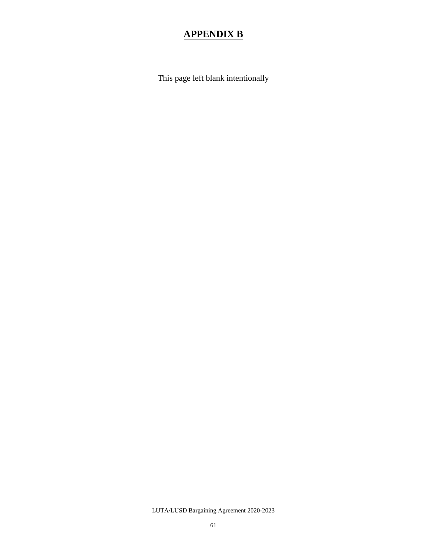# **APPENDIX B**

This page left blank intentionally

LUTA/LUSD Bargaining Agreement 2020-2023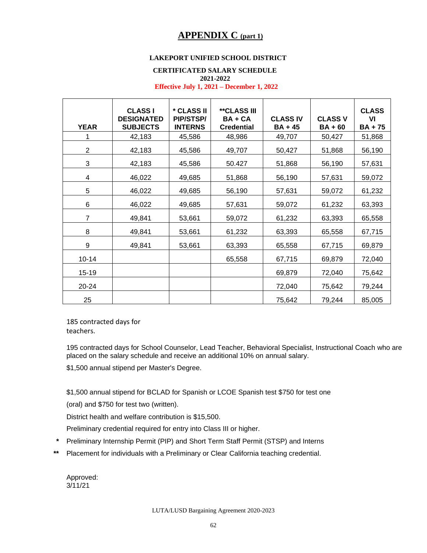## **APPENDIX C (part 1)**

#### **LAKEPORT UNIFIED SCHOOL DISTRICT**

#### **CERTIFICATED SALARY SCHEDULE 2021-2022**

 **Effective July 1, 2021 – December 1, 2022**

| <b>YEAR</b>    | <b>CLASSI</b><br><b>DESIGNATED</b><br><b>SUBJECTS</b> | * CLASS II<br><b>PIP/STSP/</b><br><b>INTERNS</b> | <b>**CLASS III</b><br>BA + CA<br><b>Credential</b> | <b>CLASS IV</b><br><b>BA + 45</b> | <b>CLASS V</b><br><b>BA+60</b> | <b>CLASS</b><br>VI<br><b>BA + 75</b> |
|----------------|-------------------------------------------------------|--------------------------------------------------|----------------------------------------------------|-----------------------------------|--------------------------------|--------------------------------------|
|                | 42,183                                                | 45,586                                           | 48,986                                             | 49,707                            | 50,427                         | 51,868                               |
| 2              | 42,183                                                | 45,586                                           | 49,707                                             | 50,427                            | 51,868                         | 56,190                               |
| 3              | 42,183                                                | 45,586                                           | 50.427                                             | 51,868                            | 56,190                         | 57,631                               |
| 4              | 46,022                                                | 49,685                                           | 51,868                                             | 56,190                            | 57,631                         | 59,072                               |
| 5              | 46,022                                                | 49,685                                           | 56,190                                             | 57,631                            | 59,072                         | 61,232                               |
| 6              | 46,022                                                | 49,685                                           | 57,631                                             | 59,072                            | 61,232                         | 63,393                               |
| $\overline{7}$ | 49,841                                                | 53,661                                           | 59,072                                             | 61,232                            | 63,393                         | 65,558                               |
| 8              | 49,841                                                | 53,661                                           | 61,232                                             | 63,393                            | 65,558                         | 67,715                               |
| 9              | 49,841                                                | 53,661                                           | 63,393                                             | 65,558                            | 67,715                         | 69,879                               |
| $10 - 14$      |                                                       |                                                  | 65,558                                             | 67,715                            | 69,879                         | 72,040                               |
| $15 - 19$      |                                                       |                                                  |                                                    | 69,879                            | 72,040                         | 75,642                               |
| 20-24          |                                                       |                                                  |                                                    | 72,040                            | 75,642                         | 79,244                               |
| 25             |                                                       |                                                  |                                                    | 75,642                            | 79,244                         | 85,005                               |

185 contracted days for teachers.

195 contracted days for School Counselor, Lead Teacher, Behavioral Specialist, Instructional Coach who are placed on the salary schedule and receive an additional 10% on annual salary.

\$1,500 annual stipend per Master's Degree.

\$1,500 annual stipend for BCLAD for Spanish or LCOE Spanish test \$750 for test one

(oral) and \$750 for test two (written).

District health and welfare contribution is \$15,500.

Preliminary credential required for entry into Class III or higher.

- **\*** Preliminary Internship Permit (PIP) and Short Term Staff Permit (STSP) and Interns
- **\*\*** Placement for individuals with a Preliminary or Clear California teaching credential.

Approved: 3/11/21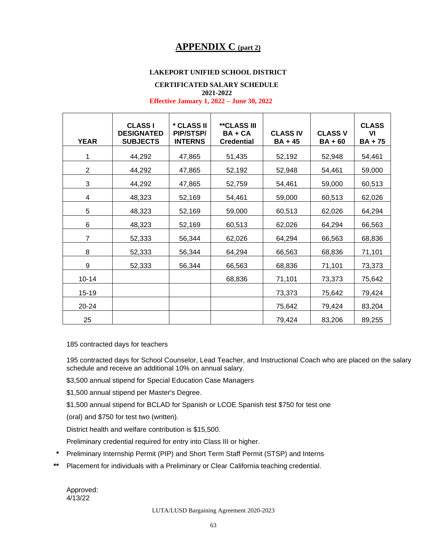## **APPENDIX C (part 2)**

#### **LAKEPORT UNIFIED SCHOOL DISTRICT**

#### **CERTIFICATED SALARY SCHEDULE 2021-2022**

 **Effective January 1, 2022 – June 30, 2022**

| <b>YEAR</b>    | <b>CLASS I</b><br><b>DESIGNATED</b><br><b>SUBJECTS</b> | * CLASS II<br><b>PIP/STSP/</b><br><b>INTERNS</b> | **CLASS III<br>$BA + CA$<br><b>Credential</b> | <b>CLASS IV</b><br><b>BA + 45</b> | <b>CLASS V</b><br><b>BA+60</b> | <b>CLASS</b><br>VI<br><b>BA + 75</b> |
|----------------|--------------------------------------------------------|--------------------------------------------------|-----------------------------------------------|-----------------------------------|--------------------------------|--------------------------------------|
| 1              | 44,292                                                 | 47,865                                           | 51,435                                        | 52,192                            | 52,948                         | 54,461                               |
| $\overline{2}$ | 44,292                                                 | 47,865                                           | 52,192                                        | 52,948                            | 54,461                         | 59,000                               |
| 3              | 44,292                                                 | 47,865                                           | 52,759                                        | 54,461                            | 59,000                         | 60,513                               |
| 4              | 48,323                                                 | 52,169                                           | 54,461                                        | 59,000                            | 60,513                         | 62,026                               |
| 5              | 48,323                                                 | 52,169                                           | 59,000                                        | 60,513                            | 62,026                         | 64,294                               |
| 6              | 48,323                                                 | 52,169                                           | 60,513                                        | 62,026                            | 64,294                         | 66,563                               |
| $\overline{7}$ | 52,333                                                 | 56,344                                           | 62,026                                        | 64,294                            | 66,563                         | 68,836                               |
| 8              | 52,333                                                 | 56,344                                           | 64,294                                        | 66,563                            | 68,836                         | 71,101                               |
| 9              | 52,333                                                 | 56,344                                           | 66,563                                        | 68,836                            | 71,101                         | 73,373                               |
| $10 - 14$      |                                                        |                                                  | 68,836                                        | 71,101                            | 73,373                         | 75,642                               |
| $15 - 19$      |                                                        |                                                  |                                               | 73,373                            | 75,642                         | 79,424                               |
| 20-24          |                                                        |                                                  |                                               | 75,642                            | 79,424                         | 83,204                               |
| 25             |                                                        |                                                  |                                               | 79,424                            | 83,206                         | 89,255                               |

185 contracted days for teachers

195 contracted days for School Counselor, Lead Teacher, and Instructional Coach who are placed on the salary schedule and receive an additional 10% on annual salary.

\$3,500 annual stipend for Special Education Case Managers

\$1,500 annual stipend per Master's Degree.

\$1,500 annual stipend for BCLAD for Spanish or LCOE Spanish test \$750 for test one

(oral) and \$750 for test two (written).

District health and welfare contribution is \$15,500.

Preliminary credential required for entry into Class III or higher.

- **\*** Preliminary Internship Permit (PIP) and Short Term Staff Permit (STSP) and Interns
- **\*\*** Placement for individuals with a Preliminary or Clear California teaching credential.

Approved: 4/13/22

LUTA/LUSD Bargaining Agreement 2020-2023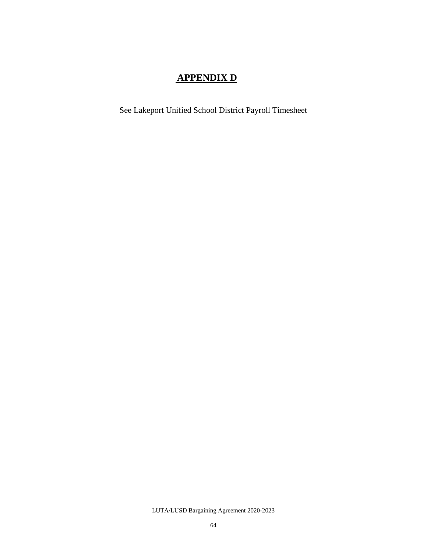# **APPENDIX D**

See Lakeport Unified School District Payroll Timesheet

LUTA/LUSD Bargaining Agreement 2020-2023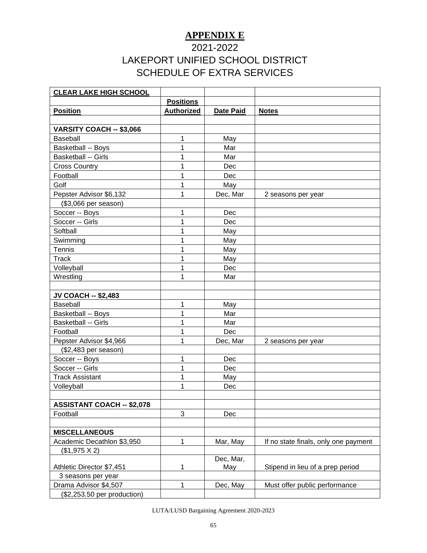# **APPENDIX E**

# 2021-2022 LAKEPORT UNIFIED SCHOOL DISTRICT SCHEDULE OF EXTRA SERVICES

| <b>CLEAR LAKE HIGH SCHOOL</b>     |                   |                  |                                      |
|-----------------------------------|-------------------|------------------|--------------------------------------|
|                                   | <b>Positions</b>  |                  |                                      |
| <b>Position</b>                   | <b>Authorized</b> | <b>Date Paid</b> | <b>Notes</b>                         |
|                                   |                   |                  |                                      |
| VARSITY COACH -- \$3,066          |                   |                  |                                      |
| <b>Baseball</b>                   | 1                 | May              |                                      |
| Basketball -- Boys                | 1                 | Mar              |                                      |
| <b>Basketball -- Girls</b>        | 1                 | Mar              |                                      |
| <b>Cross Country</b>              | 1                 | Dec              |                                      |
| Football                          | 1                 | Dec              |                                      |
| Golf                              | 1                 | May              |                                      |
| Pepster Advisor \$6,132           | 1                 | Dec, Mar         | 2 seasons per year                   |
| (\$3,066 per season)              |                   |                  |                                      |
| Soccer -- Boys                    | 1                 | Dec              |                                      |
| Soccer -- Girls                   | 1                 | Dec              |                                      |
| Softball                          | 1                 | May              |                                      |
| Swimming                          | 1                 | May              |                                      |
| Tennis                            | 1                 | May              |                                      |
| <b>Track</b>                      | 1                 | May              |                                      |
| Volleyball                        | 1                 | Dec              |                                      |
| Wrestling                         | 1                 | Mar              |                                      |
|                                   |                   |                  |                                      |
| <b>JV COACH -- \$2,483</b>        |                   |                  |                                      |
| <b>Baseball</b>                   | 1                 | May              |                                      |
| Basketball -- Boys                | $\overline{1}$    | Mar              |                                      |
| <b>Basketball -- Girls</b>        | 1                 | Mar              |                                      |
| Football                          | 1                 | Dec              |                                      |
| Pepster Advisor \$4,966           | 1                 | Dec, Mar         | 2 seasons per year                   |
| (\$2,483 per season)              |                   |                  |                                      |
| Soccer -- Boys                    | 1                 | Dec              |                                      |
| Soccer -- Girls                   | $\overline{1}$    | Dec              |                                      |
| <b>Track Assistant</b>            | 1                 | May              |                                      |
| Volleyball                        | 1                 | Dec              |                                      |
|                                   |                   |                  |                                      |
| <b>ASSISTANT COACH -- \$2,078</b> |                   |                  |                                      |
| Football                          | 3                 | Dec              |                                      |
|                                   |                   |                  |                                      |
| <b>MISCELLANEOUS</b>              |                   |                  |                                      |
| Academic Decathlon \$3,950        | 1                 | Mar, May         | If no state finals, only one payment |
| (\$1,975 X 2)                     |                   |                  |                                      |
| Athletic Director \$7,451         |                   | Dec, Mar,        | Stipend in lieu of a prep period     |
| 3 seasons per year                | 1                 | May              |                                      |
| Drama Advisor \$4,507             | 1                 | Dec, May         | Must offer public performance        |
|                                   |                   |                  |                                      |
| (\$2,253.50 per production)       |                   |                  |                                      |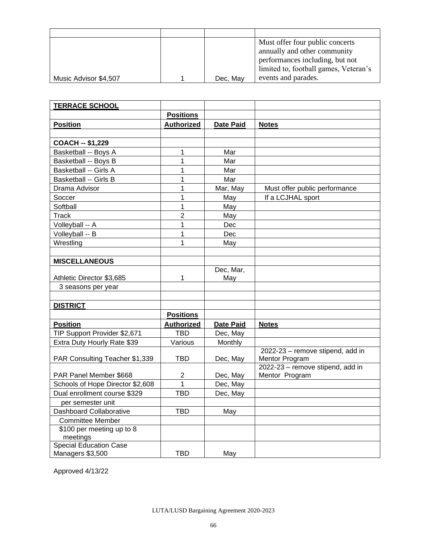|                       |          | Must offer four public concerts<br>annually and other community          |
|-----------------------|----------|--------------------------------------------------------------------------|
|                       |          | performances including, but not<br>limited to, football games, Veteran's |
| Music Advisor \$4,507 | Dec, May | events and parades.                                                      |

| <b>TERRACE SCHOOL</b>                 |                              |                  |                                  |
|---------------------------------------|------------------------------|------------------|----------------------------------|
|                                       | <b>Positions</b>             |                  |                                  |
| <b>Position</b>                       | <b>Authorized</b>            | <b>Date Paid</b> | <b>Notes</b>                     |
|                                       |                              |                  |                                  |
| <b>COACH -- \$1,229</b>               |                              |                  |                                  |
| Basketball -- Boys A                  | 1                            | Mar              |                                  |
| Basketball -- Boys B                  | $\mathbf 1$                  | Mar              |                                  |
| <b>Basketball -- Girls A</b>          | $\mathbf 1$                  | Mar              |                                  |
| <b>Basketball -- Girls B</b>          | $\mathbf 1$                  | Mar              |                                  |
| Drama Advisor                         | 1                            | Mar, May         | Must offer public performance    |
| Soccer                                | 1                            | May              | If a LCJHAL sport                |
| Softball                              | 1                            | May              |                                  |
| Track                                 | $\overline{2}$               | May              |                                  |
| Volleyball -- A                       | $\mathbf 1$                  | <b>Dec</b>       |                                  |
| Volleyball -- B                       | 1                            | <b>Dec</b>       |                                  |
| Wrestling                             | $\overline{1}$               | May              |                                  |
|                                       |                              |                  |                                  |
| <b>MISCELLANEOUS</b>                  |                              |                  |                                  |
|                                       |                              | Dec, Mar,        |                                  |
| Athletic Director \$3,685             | 1                            | May              |                                  |
| 3 seasons per year                    |                              |                  |                                  |
|                                       |                              |                  |                                  |
| <b>DISTRICT</b>                       |                              |                  |                                  |
|                                       | <b>Positions</b>             |                  |                                  |
| <b>Position</b>                       | Authorized                   | <b>Date Paid</b> | <b>Notes</b>                     |
| TIP Support Provider \$2,671          | <b>TBD</b>                   | Dec, May         |                                  |
| Extra Duty Hourly Rate \$39           | Various                      | Monthly          |                                  |
|                                       |                              |                  | 2022-23 - remove stipend, add in |
| PAR Consulting Teacher \$1,339        | TBD                          | Dec, May         | Mentor Program                   |
|                                       |                              |                  | 2022-23 - remove stipend, add in |
| PAR Panel Member \$668                | $\overline{\mathbf{c}}$<br>1 | Dec, May         | Mentor Program                   |
| Schools of Hope Director \$2,608      |                              | Dec, May         |                                  |
| Dual enrollment course \$329          | <b>TBD</b>                   | Dec, May         |                                  |
| per semester unit                     |                              |                  |                                  |
| Dashboard Collaborative               | <b>TBD</b>                   | May              |                                  |
| <b>Committee Member</b>               |                              |                  |                                  |
| \$100 per meeting up to 8<br>meetings |                              |                  |                                  |
| Special Education Case                |                              |                  |                                  |
| Managers \$3,500                      | TBD                          | May              |                                  |

Approved 4/13/22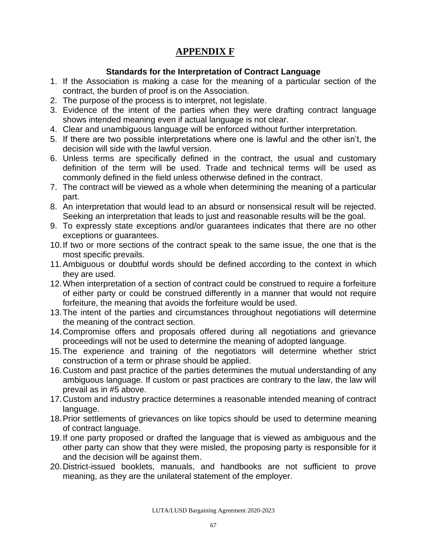## **APPENDIX F**

## **Standards for the Interpretation of Contract Language**

- 1. If the Association is making a case for the meaning of a particular section of the contract, the burden of proof is on the Association.
- 2. The purpose of the process is to interpret, not legislate.
- 3. Evidence of the intent of the parties when they were drafting contract language shows intended meaning even if actual language is not clear.
- 4. Clear and unambiguous language will be enforced without further interpretation.
- 5. If there are two possible interpretations where one is lawful and the other isn't, the decision will side with the lawful version.
- 6. Unless terms are specifically defined in the contract, the usual and customary definition of the term will be used. Trade and technical terms will be used as commonly defined in the field unless otherwise defined in the contract.
- 7. The contract will be viewed as a whole when determining the meaning of a particular part.
- 8. An interpretation that would lead to an absurd or nonsensical result will be rejected. Seeking an interpretation that leads to just and reasonable results will be the goal.
- 9. To expressly state exceptions and/or guarantees indicates that there are no other exceptions or guarantees.
- 10.If two or more sections of the contract speak to the same issue, the one that is the most specific prevails.
- 11.Ambiguous or doubtful words should be defined according to the context in which they are used.
- 12.When interpretation of a section of contract could be construed to require a forfeiture of either party or could be construed differently in a manner that would not require forfeiture, the meaning that avoids the forfeiture would be used.
- 13.The intent of the parties and circumstances throughout negotiations will determine the meaning of the contract section.
- 14.Compromise offers and proposals offered during all negotiations and grievance proceedings will not be used to determine the meaning of adopted language.
- 15.The experience and training of the negotiators will determine whether strict construction of a term or phrase should be applied.
- 16.Custom and past practice of the parties determines the mutual understanding of any ambiguous language. If custom or past practices are contrary to the law, the law will prevail as in #5 above.
- 17.Custom and industry practice determines a reasonable intended meaning of contract language.
- 18.Prior settlements of grievances on like topics should be used to determine meaning of contract language.
- 19.If one party proposed or drafted the language that is viewed as ambiguous and the other party can show that they were misled, the proposing party is responsible for it and the decision will be against them.
- 20.District-issued booklets, manuals, and handbooks are not sufficient to prove meaning, as they are the unilateral statement of the employer.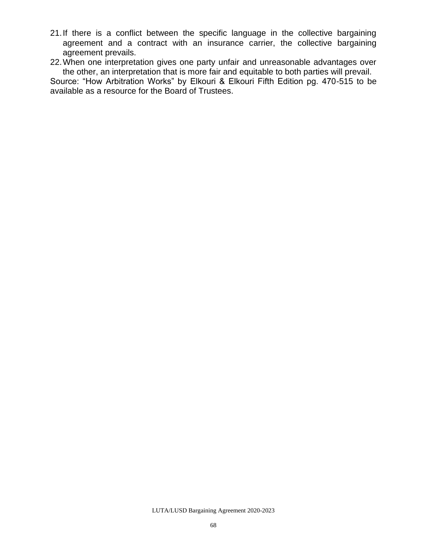- 21.If there is a conflict between the specific language in the collective bargaining agreement and a contract with an insurance carrier, the collective bargaining agreement prevails.
- 22.When one interpretation gives one party unfair and unreasonable advantages over the other, an interpretation that is more fair and equitable to both parties will prevail.

Source: "How Arbitration Works" by Elkouri & Elkouri Fifth Edition pg. 470-515 to be available as a resource for the Board of Trustees.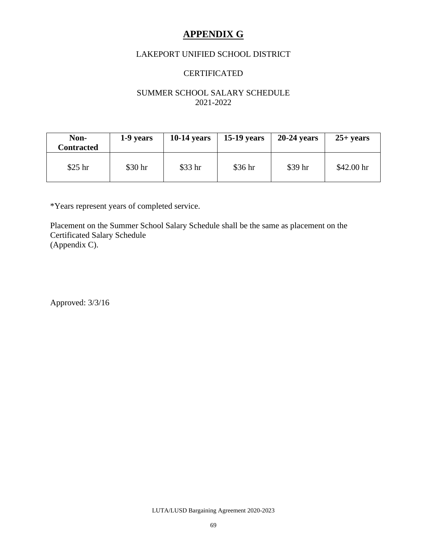## **APPENDIX G**

## LAKEPORT UNIFIED SCHOOL DISTRICT

## **CERTIFICATED**

## SUMMER SCHOOL SALARY SCHEDULE 2021-2022

| Non-<br><b>Contracted</b> | 1-9 years | $10-14$ years | $15-19$ years | $20-24$ years | $25+ years$         |
|---------------------------|-----------|---------------|---------------|---------------|---------------------|
| $$25$ hr                  | \$30 hr   | \$33 hr       | $$36$ hr      | \$39 hr       | $$42.00 \text{ hr}$ |

\*Years represent years of completed service.

Placement on the Summer School Salary Schedule shall be the same as placement on the Certificated Salary Schedule (Appendix C).

Approved: 3/3/16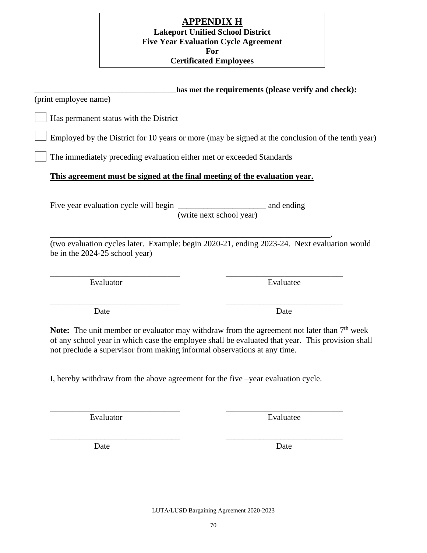**APPENDIX H Lakeport Unified School District Five Year Evaluation Cycle Agreement For Certificated Employees**

| has met the requirements (please verify and check):                                               |
|---------------------------------------------------------------------------------------------------|
|                                                                                                   |
|                                                                                                   |
| Employed by the District for 10 years or more (may be signed at the conclusion of the tenth year) |
| The immediately preceding evaluation either met or exceeded Standards                             |
| This agreement must be signed at the final meeting of the evaluation year.                        |
| (write next school year)                                                                          |
| (two evaluation cycles later. Example: begin 2020-21, ending 2023-24. Next evaluation would       |
| Evaluatee                                                                                         |
| Date                                                                                              |
|                                                                                                   |

I, hereby withdraw from the above agreement for the five –year evaluation cycle.

\_\_\_\_\_\_\_\_\_\_\_\_\_\_\_\_\_\_\_\_\_\_\_\_\_\_\_\_\_\_\_ \_\_\_\_\_\_\_\_\_\_\_\_\_\_\_\_\_\_\_\_\_\_\_\_\_\_\_\_

Evaluator Evaluatee

Date Date Date

\_\_\_\_\_\_\_\_\_\_\_\_\_\_\_\_\_\_\_\_\_\_\_\_\_\_\_\_\_\_\_ \_\_\_\_\_\_\_\_\_\_\_\_\_\_\_\_\_\_\_\_\_\_\_\_\_\_\_\_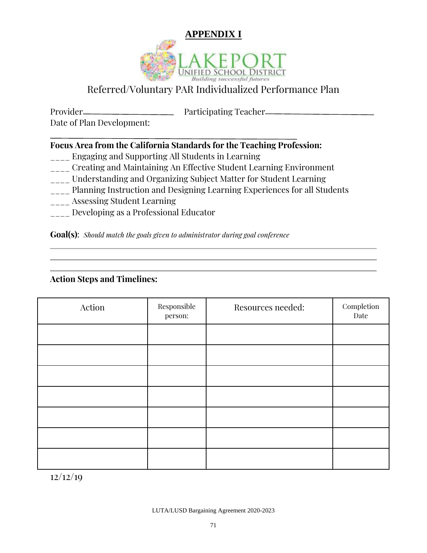

# Referred/Voluntary PAR Individualized Performance Plan

Provider Participating Teacher

Date of Plan Development:

## **Focus Area from the California Standards for the Teaching Profession:**

- \_\_\_\_ Engaging and Supporting All Students in Learning
- \_\_\_\_ Creating and Maintaining An Effective Student Learning Environment
- \_\_\_\_ Understanding and Organizing Subject Matter for Student Learning
- \_\_\_\_ Planning Instruction and Designing Learning Experiences for all Students
- \_\_\_\_ Assessing Student Learning
- \_\_\_\_ Developing as a Professional Educator

**Goal(s)**: *Should match the goals given to administrator during goal conference*

## **Action Steps and Timelines:**

| Action | Responsible<br>person: | Resources needed: | $\operatorname{Completion}$<br>Date |
|--------|------------------------|-------------------|-------------------------------------|
|        |                        |                   |                                     |
|        |                        |                   |                                     |
|        |                        |                   |                                     |
|        |                        |                   |                                     |
|        |                        |                   |                                     |
|        |                        |                   |                                     |
|        |                        |                   |                                     |

12/12/19